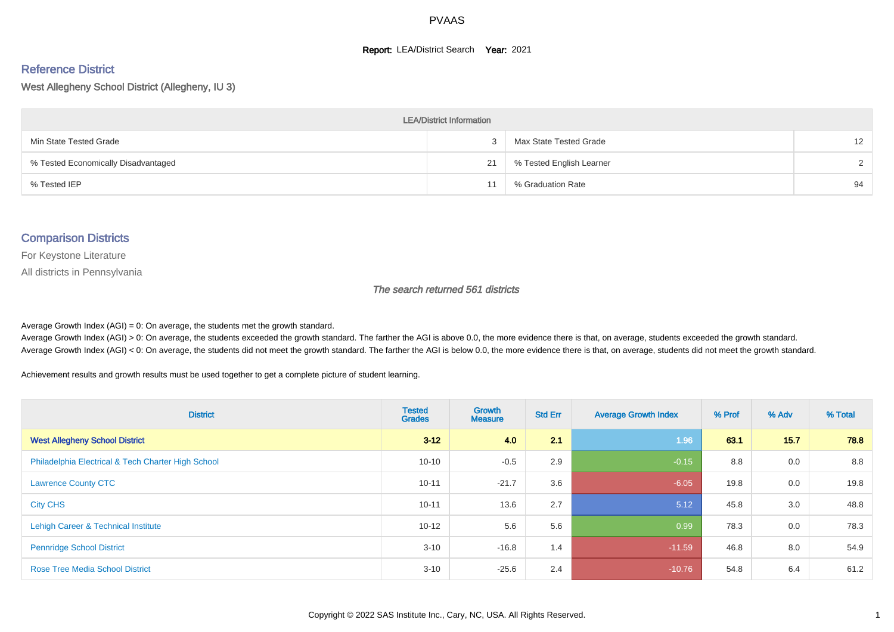#### **Report: LEA/District Search Year: 2021**

# Reference District

West Allegheny School District (Allegheny, IU 3)

| <b>LEA/District Information</b>     |    |                          |    |  |  |  |  |  |  |  |
|-------------------------------------|----|--------------------------|----|--|--|--|--|--|--|--|
| Min State Tested Grade              |    | Max State Tested Grade   | 12 |  |  |  |  |  |  |  |
| % Tested Economically Disadvantaged | 21 | % Tested English Learner |    |  |  |  |  |  |  |  |
| % Tested IEP                        |    | % Graduation Rate        | 94 |  |  |  |  |  |  |  |

#### Comparison Districts

For Keystone Literature

All districts in Pennsylvania

The search returned 561 districts

Average Growth Index  $(AGI) = 0$ : On average, the students met the growth standard.

Average Growth Index (AGI) > 0: On average, the students exceeded the growth standard. The farther the AGI is above 0.0, the more evidence there is that, on average, students exceeded the growth standard. Average Growth Index (AGI) < 0: On average, the students did not meet the growth standard. The farther the AGI is below 0.0, the more evidence there is that, on average, students did not meet the growth standard.

Achievement results and growth results must be used together to get a complete picture of student learning.

| <b>District</b>                                    | <b>Tested</b><br><b>Grades</b> | <b>Growth</b><br><b>Measure</b> | <b>Std Err</b> | <b>Average Growth Index</b> | % Prof | % Adv | % Total |
|----------------------------------------------------|--------------------------------|---------------------------------|----------------|-----------------------------|--------|-------|---------|
| <b>West Allegheny School District</b>              | $3 - 12$                       | 4.0                             | 2.1            | 1.96                        | 63.1   | 15.7  | 78.8    |
| Philadelphia Electrical & Tech Charter High School | $10 - 10$                      | $-0.5$                          | 2.9            | $-0.15$                     | 8.8    | 0.0   | 8.8     |
| <b>Lawrence County CTC</b>                         | $10 - 11$                      | $-21.7$                         | 3.6            | $-6.05$                     | 19.8   | 0.0   | 19.8    |
| <b>City CHS</b>                                    | $10 - 11$                      | 13.6                            | 2.7            | 5.12                        | 45.8   | 3.0   | 48.8    |
| Lehigh Career & Technical Institute                | $10 - 12$                      | 5.6                             | 5.6            | 0.99                        | 78.3   | 0.0   | 78.3    |
| <b>Pennridge School District</b>                   | $3 - 10$                       | $-16.8$                         | 1.4            | $-11.59$                    | 46.8   | 8.0   | 54.9    |
| <b>Rose Tree Media School District</b>             | $3 - 10$                       | $-25.6$                         | 2.4            | $-10.76$                    | 54.8   | 6.4   | 61.2    |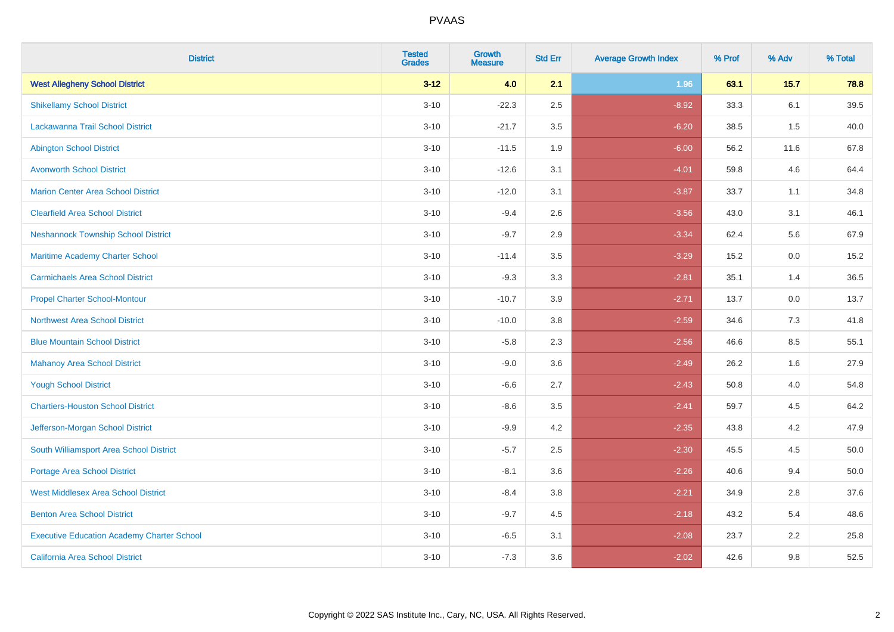| <b>District</b>                                   | <b>Tested</b><br><b>Grades</b> | <b>Growth</b><br><b>Measure</b> | <b>Std Err</b> | <b>Average Growth Index</b> | % Prof | % Adv   | % Total |
|---------------------------------------------------|--------------------------------|---------------------------------|----------------|-----------------------------|--------|---------|---------|
| <b>West Allegheny School District</b>             | $3 - 12$                       | 4.0                             | 2.1            | 1.96                        | 63.1   | 15.7    | 78.8    |
| <b>Shikellamy School District</b>                 | $3 - 10$                       | $-22.3$                         | 2.5            | $-8.92$                     | 33.3   | 6.1     | 39.5    |
| Lackawanna Trail School District                  | $3 - 10$                       | $-21.7$                         | 3.5            | $-6.20$                     | 38.5   | 1.5     | 40.0    |
| <b>Abington School District</b>                   | $3 - 10$                       | $-11.5$                         | 1.9            | $-6.00$                     | 56.2   | 11.6    | 67.8    |
| <b>Avonworth School District</b>                  | $3 - 10$                       | $-12.6$                         | 3.1            | $-4.01$                     | 59.8   | 4.6     | 64.4    |
| <b>Marion Center Area School District</b>         | $3 - 10$                       | $-12.0$                         | 3.1            | $-3.87$                     | 33.7   | 1.1     | 34.8    |
| <b>Clearfield Area School District</b>            | $3 - 10$                       | $-9.4$                          | 2.6            | $-3.56$                     | 43.0   | 3.1     | 46.1    |
| <b>Neshannock Township School District</b>        | $3 - 10$                       | $-9.7$                          | 2.9            | $-3.34$                     | 62.4   | 5.6     | 67.9    |
| Maritime Academy Charter School                   | $3 - 10$                       | $-11.4$                         | 3.5            | $-3.29$                     | 15.2   | 0.0     | 15.2    |
| <b>Carmichaels Area School District</b>           | $3 - 10$                       | $-9.3$                          | 3.3            | $-2.81$                     | 35.1   | 1.4     | 36.5    |
| <b>Propel Charter School-Montour</b>              | $3 - 10$                       | $-10.7$                         | 3.9            | $-2.71$                     | 13.7   | 0.0     | 13.7    |
| <b>Northwest Area School District</b>             | $3 - 10$                       | $-10.0$                         | 3.8            | $-2.59$                     | 34.6   | 7.3     | 41.8    |
| <b>Blue Mountain School District</b>              | $3 - 10$                       | $-5.8$                          | 2.3            | $-2.56$                     | 46.6   | $8.5\,$ | 55.1    |
| <b>Mahanoy Area School District</b>               | $3 - 10$                       | $-9.0$                          | 3.6            | $-2.49$                     | 26.2   | 1.6     | 27.9    |
| <b>Yough School District</b>                      | $3 - 10$                       | $-6.6$                          | 2.7            | $-2.43$                     | 50.8   | 4.0     | 54.8    |
| <b>Chartiers-Houston School District</b>          | $3 - 10$                       | $-8.6$                          | 3.5            | $-2.41$                     | 59.7   | 4.5     | 64.2    |
| Jefferson-Morgan School District                  | $3 - 10$                       | $-9.9$                          | 4.2            | $-2.35$                     | 43.8   | 4.2     | 47.9    |
| South Williamsport Area School District           | $3 - 10$                       | $-5.7$                          | 2.5            | $-2.30$                     | 45.5   | 4.5     | 50.0    |
| <b>Portage Area School District</b>               | $3 - 10$                       | $-8.1$                          | 3.6            | $-2.26$                     | 40.6   | 9.4     | 50.0    |
| <b>West Middlesex Area School District</b>        | $3 - 10$                       | $-8.4$                          | 3.8            | $-2.21$                     | 34.9   | 2.8     | 37.6    |
| <b>Benton Area School District</b>                | $3 - 10$                       | $-9.7$                          | 4.5            | $-2.18$                     | 43.2   | 5.4     | 48.6    |
| <b>Executive Education Academy Charter School</b> | $3 - 10$                       | $-6.5$                          | 3.1            | $-2.08$                     | 23.7   | 2.2     | 25.8    |
| <b>California Area School District</b>            | $3 - 10$                       | $-7.3$                          | 3.6            | $-2.02$                     | 42.6   | 9.8     | 52.5    |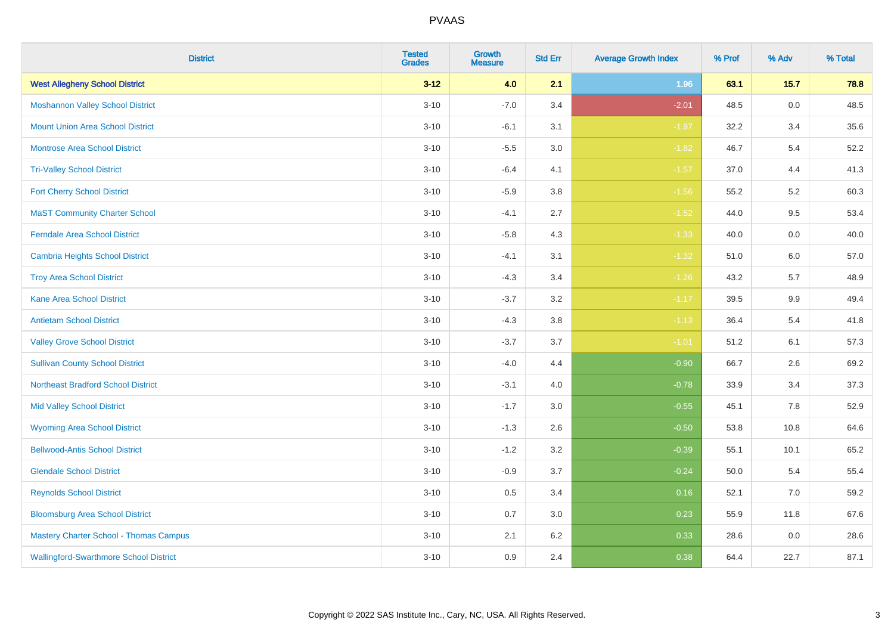| <b>District</b>                               | <b>Tested</b><br><b>Grades</b> | <b>Growth</b><br><b>Measure</b> | <b>Std Err</b> | <b>Average Growth Index</b> | % Prof | % Adv   | % Total |
|-----------------------------------------------|--------------------------------|---------------------------------|----------------|-----------------------------|--------|---------|---------|
| <b>West Allegheny School District</b>         | $3 - 12$                       | 4.0                             | 2.1            | 1.96                        | 63.1   | $15.7$  | 78.8    |
| <b>Moshannon Valley School District</b>       | $3 - 10$                       | $-7.0$                          | 3.4            | $-2.01$                     | 48.5   | $0.0\,$ | 48.5    |
| <b>Mount Union Area School District</b>       | $3 - 10$                       | $-6.1$                          | 3.1            | $-1.97$                     | 32.2   | 3.4     | 35.6    |
| <b>Montrose Area School District</b>          | $3 - 10$                       | $-5.5$                          | $3.0\,$        | $-1.82$                     | 46.7   | 5.4     | 52.2    |
| <b>Tri-Valley School District</b>             | $3 - 10$                       | $-6.4$                          | 4.1            | $-1.57$                     | 37.0   | 4.4     | 41.3    |
| <b>Fort Cherry School District</b>            | $3 - 10$                       | $-5.9$                          | 3.8            | $-1.56$                     | 55.2   | 5.2     | 60.3    |
| <b>MaST Community Charter School</b>          | $3 - 10$                       | $-4.1$                          | 2.7            | $-1.52$                     | 44.0   | 9.5     | 53.4    |
| <b>Ferndale Area School District</b>          | $3 - 10$                       | $-5.8$                          | 4.3            | $-1.33$                     | 40.0   | 0.0     | 40.0    |
| <b>Cambria Heights School District</b>        | $3 - 10$                       | $-4.1$                          | 3.1            | $-1.32$                     | 51.0   | 6.0     | 57.0    |
| <b>Troy Area School District</b>              | $3 - 10$                       | $-4.3$                          | 3.4            | $-1.26$                     | 43.2   | 5.7     | 48.9    |
| <b>Kane Area School District</b>              | $3 - 10$                       | $-3.7$                          | 3.2            | $-1.17$                     | 39.5   | 9.9     | 49.4    |
| <b>Antietam School District</b>               | $3 - 10$                       | $-4.3$                          | 3.8            | $-1.13$                     | 36.4   | 5.4     | 41.8    |
| <b>Valley Grove School District</b>           | $3 - 10$                       | $-3.7$                          | 3.7            | $-1.01$                     | 51.2   | 6.1     | 57.3    |
| <b>Sullivan County School District</b>        | $3 - 10$                       | $-4.0$                          | 4.4            | $-0.90$                     | 66.7   | 2.6     | 69.2    |
| <b>Northeast Bradford School District</b>     | $3 - 10$                       | $-3.1$                          | 4.0            | $-0.78$                     | 33.9   | 3.4     | 37.3    |
| <b>Mid Valley School District</b>             | $3 - 10$                       | $-1.7$                          | 3.0            | $-0.55$                     | 45.1   | 7.8     | 52.9    |
| <b>Wyoming Area School District</b>           | $3 - 10$                       | $-1.3$                          | 2.6            | $-0.50$                     | 53.8   | 10.8    | 64.6    |
| <b>Bellwood-Antis School District</b>         | $3 - 10$                       | $-1.2$                          | 3.2            | $-0.39$                     | 55.1   | 10.1    | 65.2    |
| <b>Glendale School District</b>               | $3 - 10$                       | $-0.9$                          | 3.7            | $-0.24$                     | 50.0   | 5.4     | 55.4    |
| <b>Reynolds School District</b>               | $3 - 10$                       | 0.5                             | 3.4            | 0.16                        | 52.1   | 7.0     | 59.2    |
| <b>Bloomsburg Area School District</b>        | $3 - 10$                       | 0.7                             | 3.0            | 0.23                        | 55.9   | 11.8    | 67.6    |
| <b>Mastery Charter School - Thomas Campus</b> | $3 - 10$                       | 2.1                             | 6.2            | 0.33                        | 28.6   | 0.0     | 28.6    |
| <b>Wallingford-Swarthmore School District</b> | $3 - 10$                       | 0.9                             | 2.4            | 0.38                        | 64.4   | 22.7    | 87.1    |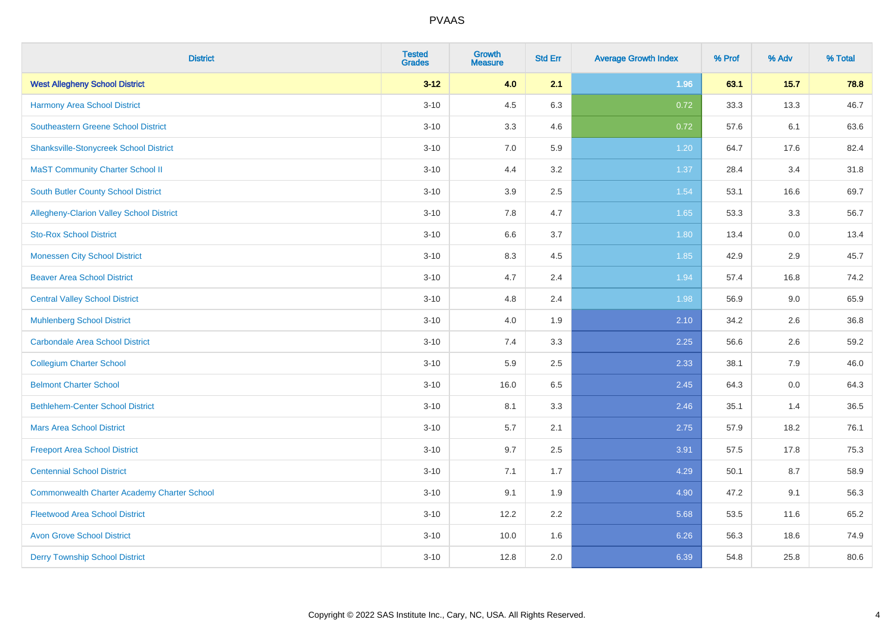| <b>District</b>                                    | <b>Tested</b><br><b>Grades</b> | <b>Growth</b><br><b>Measure</b> | <b>Std Err</b> | <b>Average Growth Index</b> | % Prof | % Adv  | % Total |
|----------------------------------------------------|--------------------------------|---------------------------------|----------------|-----------------------------|--------|--------|---------|
| <b>West Allegheny School District</b>              | $3 - 12$                       | 4.0                             | 2.1            | 1.96                        | 63.1   | $15.7$ | 78.8    |
| Harmony Area School District                       | $3 - 10$                       | 4.5                             | 6.3            | 0.72                        | 33.3   | 13.3   | 46.7    |
| <b>Southeastern Greene School District</b>         | $3 - 10$                       | 3.3                             | 4.6            | 0.72                        | 57.6   | 6.1    | 63.6    |
| <b>Shanksville-Stonycreek School District</b>      | $3 - 10$                       | 7.0                             | 5.9            | 1.20                        | 64.7   | 17.6   | 82.4    |
| <b>MaST Community Charter School II</b>            | $3 - 10$                       | 4.4                             | 3.2            | 1.37                        | 28.4   | 3.4    | 31.8    |
| South Butler County School District                | $3 - 10$                       | 3.9                             | 2.5            | 1.54                        | 53.1   | 16.6   | 69.7    |
| <b>Allegheny-Clarion Valley School District</b>    | $3 - 10$                       | 7.8                             | 4.7            | 1.65                        | 53.3   | 3.3    | 56.7    |
| <b>Sto-Rox School District</b>                     | $3 - 10$                       | 6.6                             | 3.7            | 1.80                        | 13.4   | 0.0    | 13.4    |
| <b>Monessen City School District</b>               | $3 - 10$                       | 8.3                             | 4.5            | 1.85                        | 42.9   | 2.9    | 45.7    |
| <b>Beaver Area School District</b>                 | $3 - 10$                       | 4.7                             | 2.4            | 1.94                        | 57.4   | 16.8   | 74.2    |
| <b>Central Valley School District</b>              | $3 - 10$                       | 4.8                             | 2.4            | 1.98                        | 56.9   | 9.0    | 65.9    |
| <b>Muhlenberg School District</b>                  | $3 - 10$                       | 4.0                             | 1.9            | 2.10                        | 34.2   | 2.6    | 36.8    |
| <b>Carbondale Area School District</b>             | $3 - 10$                       | $7.4$                           | 3.3            | 2.25                        | 56.6   | 2.6    | 59.2    |
| <b>Collegium Charter School</b>                    | $3 - 10$                       | 5.9                             | 2.5            | 2.33                        | 38.1   | 7.9    | 46.0    |
| <b>Belmont Charter School</b>                      | $3 - 10$                       | 16.0                            | 6.5            | 2.45                        | 64.3   | 0.0    | 64.3    |
| <b>Bethlehem-Center School District</b>            | $3 - 10$                       | 8.1                             | 3.3            | 2.46                        | 35.1   | 1.4    | 36.5    |
| <b>Mars Area School District</b>                   | $3 - 10$                       | 5.7                             | 2.1            | 2.75                        | 57.9   | 18.2   | 76.1    |
| <b>Freeport Area School District</b>               | $3 - 10$                       | 9.7                             | 2.5            | 3.91                        | 57.5   | 17.8   | 75.3    |
| <b>Centennial School District</b>                  | $3 - 10$                       | 7.1                             | 1.7            | 4.29                        | 50.1   | 8.7    | 58.9    |
| <b>Commonwealth Charter Academy Charter School</b> | $3 - 10$                       | 9.1                             | 1.9            | 4.90                        | 47.2   | 9.1    | 56.3    |
| <b>Fleetwood Area School District</b>              | $3 - 10$                       | 12.2                            | 2.2            | 5.68                        | 53.5   | 11.6   | 65.2    |
| <b>Avon Grove School District</b>                  | $3 - 10$                       | 10.0                            | 1.6            | 6.26                        | 56.3   | 18.6   | 74.9    |
| <b>Derry Township School District</b>              | $3 - 10$                       | 12.8                            | 2.0            | 6.39                        | 54.8   | 25.8   | 80.6    |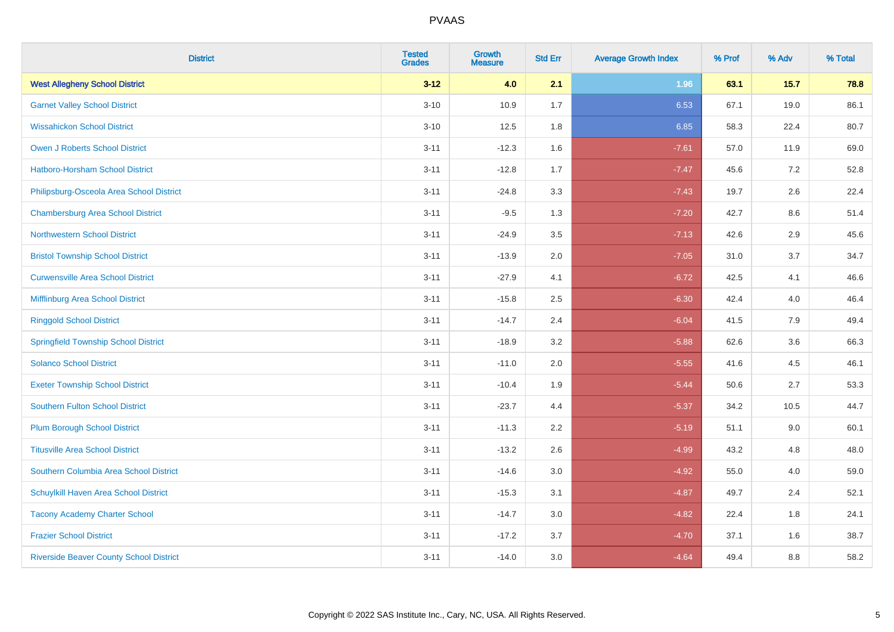| <b>District</b>                                | <b>Tested</b><br><b>Grades</b> | <b>Growth</b><br><b>Measure</b> | <b>Std Err</b> | <b>Average Growth Index</b> | % Prof | % Adv | % Total |
|------------------------------------------------|--------------------------------|---------------------------------|----------------|-----------------------------|--------|-------|---------|
| <b>West Allegheny School District</b>          | $3 - 12$                       | 4.0                             | 2.1            | 1.96                        | 63.1   | 15.7  | 78.8    |
| <b>Garnet Valley School District</b>           | $3 - 10$                       | 10.9                            | 1.7            | 6.53                        | 67.1   | 19.0  | 86.1    |
| <b>Wissahickon School District</b>             | $3 - 10$                       | 12.5                            | 1.8            | 6.85                        | 58.3   | 22.4  | 80.7    |
| <b>Owen J Roberts School District</b>          | $3 - 11$                       | $-12.3$                         | 1.6            | $-7.61$                     | 57.0   | 11.9  | 69.0    |
| Hatboro-Horsham School District                | $3 - 11$                       | $-12.8$                         | 1.7            | $-7.47$                     | 45.6   | 7.2   | 52.8    |
| Philipsburg-Osceola Area School District       | $3 - 11$                       | $-24.8$                         | 3.3            | $-7.43$                     | 19.7   | 2.6   | 22.4    |
| <b>Chambersburg Area School District</b>       | $3 - 11$                       | $-9.5$                          | 1.3            | $-7.20$                     | 42.7   | 8.6   | 51.4    |
| <b>Northwestern School District</b>            | $3 - 11$                       | $-24.9$                         | 3.5            | $-7.13$                     | 42.6   | 2.9   | 45.6    |
| <b>Bristol Township School District</b>        | $3 - 11$                       | $-13.9$                         | 2.0            | $-7.05$                     | 31.0   | 3.7   | 34.7    |
| <b>Curwensville Area School District</b>       | $3 - 11$                       | $-27.9$                         | 4.1            | $-6.72$                     | 42.5   | 4.1   | 46.6    |
| Mifflinburg Area School District               | $3 - 11$                       | $-15.8$                         | 2.5            | $-6.30$                     | 42.4   | 4.0   | 46.4    |
| <b>Ringgold School District</b>                | $3 - 11$                       | $-14.7$                         | 2.4            | $-6.04$                     | 41.5   | 7.9   | 49.4    |
| <b>Springfield Township School District</b>    | $3 - 11$                       | $-18.9$                         | 3.2            | $-5.88$                     | 62.6   | 3.6   | 66.3    |
| <b>Solanco School District</b>                 | $3 - 11$                       | $-11.0$                         | 2.0            | $-5.55$                     | 41.6   | 4.5   | 46.1    |
| <b>Exeter Township School District</b>         | $3 - 11$                       | $-10.4$                         | 1.9            | $-5.44$                     | 50.6   | 2.7   | 53.3    |
| <b>Southern Fulton School District</b>         | $3 - 11$                       | $-23.7$                         | 4.4            | $-5.37$                     | 34.2   | 10.5  | 44.7    |
| <b>Plum Borough School District</b>            | $3 - 11$                       | $-11.3$                         | 2.2            | $-5.19$                     | 51.1   | 9.0   | 60.1    |
| <b>Titusville Area School District</b>         | $3 - 11$                       | $-13.2$                         | 2.6            | $-4.99$                     | 43.2   | 4.8   | 48.0    |
| Southern Columbia Area School District         | $3 - 11$                       | $-14.6$                         | 3.0            | $-4.92$                     | 55.0   | 4.0   | 59.0    |
| Schuylkill Haven Area School District          | $3 - 11$                       | $-15.3$                         | 3.1            | $-4.87$                     | 49.7   | 2.4   | 52.1    |
| <b>Tacony Academy Charter School</b>           | $3 - 11$                       | $-14.7$                         | 3.0            | $-4.82$                     | 22.4   | 1.8   | 24.1    |
| <b>Frazier School District</b>                 | $3 - 11$                       | $-17.2$                         | 3.7            | $-4.70$                     | 37.1   | 1.6   | 38.7    |
| <b>Riverside Beaver County School District</b> | $3 - 11$                       | $-14.0$                         | 3.0            | $-4.64$                     | 49.4   | 8.8   | 58.2    |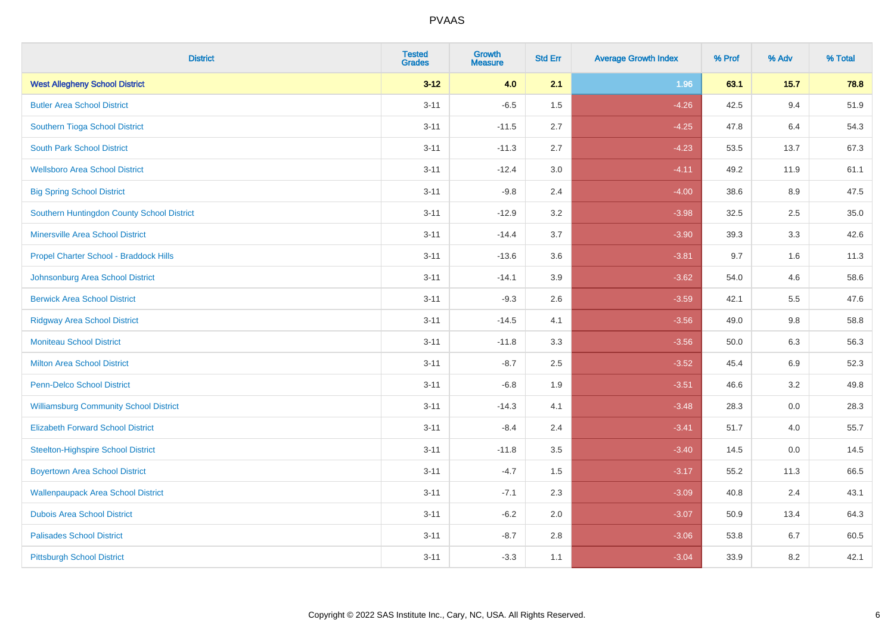| <b>District</b>                               | <b>Tested</b><br><b>Grades</b> | <b>Growth</b><br><b>Measure</b> | <b>Std Err</b> | <b>Average Growth Index</b> | % Prof | % Adv   | % Total |
|-----------------------------------------------|--------------------------------|---------------------------------|----------------|-----------------------------|--------|---------|---------|
| <b>West Allegheny School District</b>         | $3 - 12$                       | 4.0                             | 2.1            | 1.96                        | 63.1   | 15.7    | 78.8    |
| <b>Butler Area School District</b>            | $3 - 11$                       | $-6.5$                          | 1.5            | $-4.26$                     | 42.5   | 9.4     | 51.9    |
| Southern Tioga School District                | $3 - 11$                       | $-11.5$                         | 2.7            | $-4.25$                     | 47.8   | 6.4     | 54.3    |
| <b>South Park School District</b>             | $3 - 11$                       | $-11.3$                         | 2.7            | $-4.23$                     | 53.5   | 13.7    | 67.3    |
| <b>Wellsboro Area School District</b>         | $3 - 11$                       | $-12.4$                         | 3.0            | $-4.11$                     | 49.2   | 11.9    | 61.1    |
| <b>Big Spring School District</b>             | $3 - 11$                       | $-9.8$                          | 2.4            | $-4.00$                     | 38.6   | 8.9     | 47.5    |
| Southern Huntingdon County School District    | $3 - 11$                       | $-12.9$                         | 3.2            | $-3.98$                     | 32.5   | 2.5     | 35.0    |
| <b>Minersville Area School District</b>       | $3 - 11$                       | $-14.4$                         | 3.7            | $-3.90$                     | 39.3   | 3.3     | 42.6    |
| Propel Charter School - Braddock Hills        | $3 - 11$                       | $-13.6$                         | 3.6            | $-3.81$                     | 9.7    | 1.6     | 11.3    |
| Johnsonburg Area School District              | $3 - 11$                       | $-14.1$                         | 3.9            | $-3.62$                     | 54.0   | 4.6     | 58.6    |
| <b>Berwick Area School District</b>           | $3 - 11$                       | $-9.3$                          | 2.6            | $-3.59$                     | 42.1   | 5.5     | 47.6    |
| <b>Ridgway Area School District</b>           | $3 - 11$                       | $-14.5$                         | 4.1            | $-3.56$                     | 49.0   | 9.8     | 58.8    |
| <b>Moniteau School District</b>               | $3 - 11$                       | $-11.8$                         | 3.3            | $-3.56$                     | 50.0   | $6.3\,$ | 56.3    |
| <b>Milton Area School District</b>            | $3 - 11$                       | $-8.7$                          | 2.5            | $-3.52$                     | 45.4   | 6.9     | 52.3    |
| <b>Penn-Delco School District</b>             | $3 - 11$                       | $-6.8$                          | 1.9            | $-3.51$                     | 46.6   | 3.2     | 49.8    |
| <b>Williamsburg Community School District</b> | $3 - 11$                       | $-14.3$                         | 4.1            | $-3.48$                     | 28.3   | $0.0\,$ | 28.3    |
| <b>Elizabeth Forward School District</b>      | $3 - 11$                       | $-8.4$                          | 2.4            | $-3.41$                     | 51.7   | 4.0     | 55.7    |
| <b>Steelton-Highspire School District</b>     | $3 - 11$                       | $-11.8$                         | 3.5            | $-3.40$                     | 14.5   | 0.0     | 14.5    |
| <b>Boyertown Area School District</b>         | $3 - 11$                       | $-4.7$                          | 1.5            | $-3.17$                     | 55.2   | 11.3    | 66.5    |
| <b>Wallenpaupack Area School District</b>     | $3 - 11$                       | $-7.1$                          | 2.3            | $-3.09$                     | 40.8   | 2.4     | 43.1    |
| <b>Dubois Area School District</b>            | $3 - 11$                       | $-6.2$                          | 2.0            | $-3.07$                     | 50.9   | 13.4    | 64.3    |
| <b>Palisades School District</b>              | $3 - 11$                       | $-8.7$                          | 2.8            | $-3.06$                     | 53.8   | 6.7     | 60.5    |
| <b>Pittsburgh School District</b>             | $3 - 11$                       | $-3.3$                          | 1.1            | $-3.04$                     | 33.9   | 8.2     | 42.1    |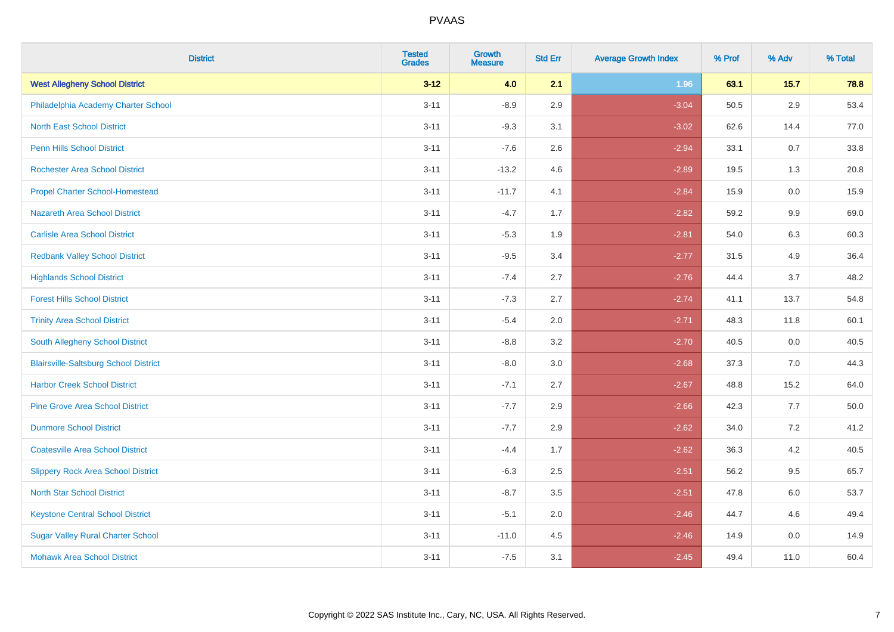| <b>District</b>                              | <b>Tested</b><br><b>Grades</b> | <b>Growth</b><br><b>Measure</b> | <b>Std Err</b> | <b>Average Growth Index</b> | % Prof | % Adv   | % Total |
|----------------------------------------------|--------------------------------|---------------------------------|----------------|-----------------------------|--------|---------|---------|
| <b>West Allegheny School District</b>        | $3 - 12$                       | 4.0                             | 2.1            | 1.96                        | 63.1   | 15.7    | 78.8    |
| Philadelphia Academy Charter School          | $3 - 11$                       | $-8.9$                          | 2.9            | $-3.04$                     | 50.5   | $2.9\,$ | 53.4    |
| <b>North East School District</b>            | $3 - 11$                       | $-9.3$                          | 3.1            | $-3.02$                     | 62.6   | 14.4    | 77.0    |
| <b>Penn Hills School District</b>            | $3 - 11$                       | $-7.6$                          | 2.6            | $-2.94$                     | 33.1   | $0.7\,$ | 33.8    |
| <b>Rochester Area School District</b>        | $3 - 11$                       | $-13.2$                         | 4.6            | $-2.89$                     | 19.5   | 1.3     | 20.8    |
| <b>Propel Charter School-Homestead</b>       | $3 - 11$                       | $-11.7$                         | 4.1            | $-2.84$                     | 15.9   | 0.0     | 15.9    |
| Nazareth Area School District                | $3 - 11$                       | $-4.7$                          | 1.7            | $-2.82$                     | 59.2   | 9.9     | 69.0    |
| <b>Carlisle Area School District</b>         | $3 - 11$                       | $-5.3$                          | 1.9            | $-2.81$                     | 54.0   | 6.3     | 60.3    |
| <b>Redbank Valley School District</b>        | $3 - 11$                       | $-9.5$                          | 3.4            | $-2.77$                     | 31.5   | 4.9     | 36.4    |
| <b>Highlands School District</b>             | $3 - 11$                       | $-7.4$                          | 2.7            | $-2.76$                     | 44.4   | 3.7     | 48.2    |
| <b>Forest Hills School District</b>          | $3 - 11$                       | $-7.3$                          | 2.7            | $-2.74$                     | 41.1   | 13.7    | 54.8    |
| <b>Trinity Area School District</b>          | $3 - 11$                       | $-5.4$                          | 2.0            | $-2.71$                     | 48.3   | 11.8    | 60.1    |
| South Allegheny School District              | $3 - 11$                       | $-8.8$                          | 3.2            | $-2.70$                     | 40.5   | $0.0\,$ | 40.5    |
| <b>Blairsville-Saltsburg School District</b> | $3 - 11$                       | $-8.0$                          | 3.0            | $-2.68$                     | 37.3   | 7.0     | 44.3    |
| <b>Harbor Creek School District</b>          | $3 - 11$                       | $-7.1$                          | 2.7            | $-2.67$                     | 48.8   | 15.2    | 64.0    |
| <b>Pine Grove Area School District</b>       | $3 - 11$                       | $-7.7$                          | 2.9            | $-2.66$                     | 42.3   | 7.7     | 50.0    |
| <b>Dunmore School District</b>               | $3 - 11$                       | $-7.7$                          | 2.9            | $-2.62$                     | 34.0   | $7.2\,$ | 41.2    |
| <b>Coatesville Area School District</b>      | $3 - 11$                       | $-4.4$                          | 1.7            | $-2.62$                     | 36.3   | 4.2     | 40.5    |
| <b>Slippery Rock Area School District</b>    | $3 - 11$                       | $-6.3$                          | 2.5            | $-2.51$                     | 56.2   | 9.5     | 65.7    |
| <b>North Star School District</b>            | $3 - 11$                       | $-8.7$                          | 3.5            | $-2.51$                     | 47.8   | 6.0     | 53.7    |
| <b>Keystone Central School District</b>      | $3 - 11$                       | $-5.1$                          | 2.0            | $-2.46$                     | 44.7   | 4.6     | 49.4    |
| <b>Sugar Valley Rural Charter School</b>     | $3 - 11$                       | $-11.0$                         | 4.5            | $-2.46$                     | 14.9   | 0.0     | 14.9    |
| <b>Mohawk Area School District</b>           | $3 - 11$                       | $-7.5$                          | 3.1            | $-2.45$                     | 49.4   | 11.0    | 60.4    |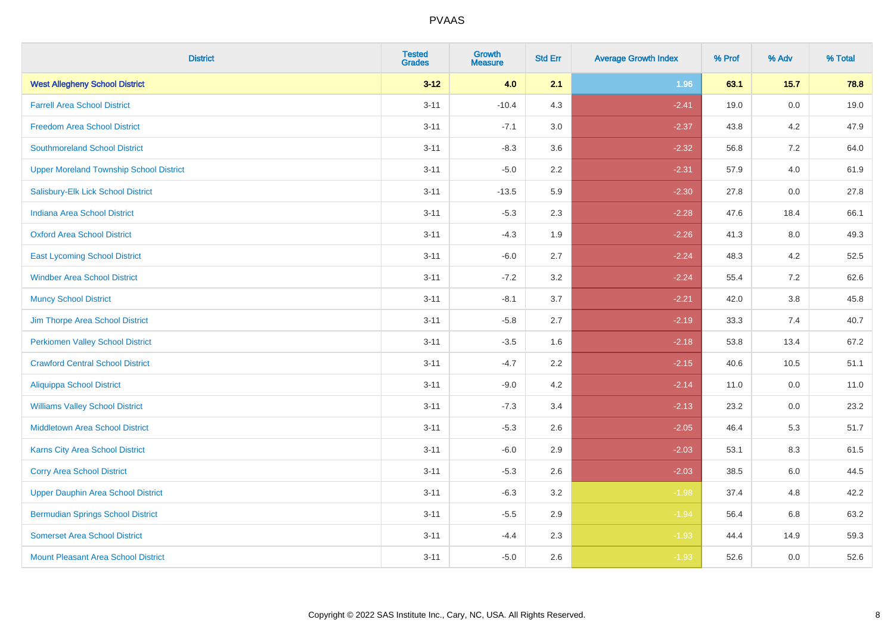| <b>District</b>                                | <b>Tested</b><br><b>Grades</b> | <b>Growth</b><br><b>Measure</b> | <b>Std Err</b> | <b>Average Growth Index</b> | % Prof | % Adv | % Total |
|------------------------------------------------|--------------------------------|---------------------------------|----------------|-----------------------------|--------|-------|---------|
| <b>West Allegheny School District</b>          | $3 - 12$                       | 4.0                             | 2.1            | 1.96                        | 63.1   | 15.7  | 78.8    |
| <b>Farrell Area School District</b>            | $3 - 11$                       | $-10.4$                         | 4.3            | $-2.41$                     | 19.0   | 0.0   | 19.0    |
| <b>Freedom Area School District</b>            | $3 - 11$                       | $-7.1$                          | 3.0            | $-2.37$                     | 43.8   | 4.2   | 47.9    |
| <b>Southmoreland School District</b>           | $3 - 11$                       | $-8.3$                          | 3.6            | $-2.32$                     | 56.8   | 7.2   | 64.0    |
| <b>Upper Moreland Township School District</b> | $3 - 11$                       | $-5.0$                          | 2.2            | $-2.31$                     | 57.9   | 4.0   | 61.9    |
| Salisbury-Elk Lick School District             | $3 - 11$                       | $-13.5$                         | 5.9            | $-2.30$                     | 27.8   | 0.0   | 27.8    |
| <b>Indiana Area School District</b>            | $3 - 11$                       | $-5.3$                          | 2.3            | $-2.28$                     | 47.6   | 18.4  | 66.1    |
| <b>Oxford Area School District</b>             | $3 - 11$                       | $-4.3$                          | 1.9            | $-2.26$                     | 41.3   | 8.0   | 49.3    |
| <b>East Lycoming School District</b>           | $3 - 11$                       | $-6.0$                          | 2.7            | $-2.24$                     | 48.3   | 4.2   | 52.5    |
| <b>Windber Area School District</b>            | $3 - 11$                       | $-7.2$                          | 3.2            | $-2.24$                     | 55.4   | 7.2   | 62.6    |
| <b>Muncy School District</b>                   | $3 - 11$                       | $-8.1$                          | 3.7            | $-2.21$                     | 42.0   | 3.8   | 45.8    |
| Jim Thorpe Area School District                | $3 - 11$                       | $-5.8$                          | 2.7            | $-2.19$                     | 33.3   | 7.4   | 40.7    |
| <b>Perkiomen Valley School District</b>        | $3 - 11$                       | $-3.5$                          | 1.6            | $-2.18$                     | 53.8   | 13.4  | 67.2    |
| <b>Crawford Central School District</b>        | $3 - 11$                       | $-4.7$                          | 2.2            | $-2.15$                     | 40.6   | 10.5  | 51.1    |
| <b>Aliquippa School District</b>               | $3 - 11$                       | $-9.0$                          | 4.2            | $-2.14$                     | 11.0   | 0.0   | 11.0    |
| <b>Williams Valley School District</b>         | $3 - 11$                       | $-7.3$                          | 3.4            | $-2.13$                     | 23.2   | 0.0   | 23.2    |
| <b>Middletown Area School District</b>         | $3 - 11$                       | $-5.3$                          | 2.6            | $-2.05$                     | 46.4   | 5.3   | 51.7    |
| Karns City Area School District                | $3 - 11$                       | $-6.0$                          | 2.9            | $-2.03$                     | 53.1   | 8.3   | 61.5    |
| <b>Corry Area School District</b>              | $3 - 11$                       | $-5.3$                          | 2.6            | $-2.03$                     | 38.5   | 6.0   | 44.5    |
| <b>Upper Dauphin Area School District</b>      | $3 - 11$                       | $-6.3$                          | 3.2            | $-1.98$                     | 37.4   | 4.8   | 42.2    |
| <b>Bermudian Springs School District</b>       | $3 - 11$                       | $-5.5$                          | 2.9            | $-1.94$                     | 56.4   | 6.8   | 63.2    |
| <b>Somerset Area School District</b>           | $3 - 11$                       | $-4.4$                          | 2.3            | $-1.93$                     | 44.4   | 14.9  | 59.3    |
| Mount Pleasant Area School District            | $3 - 11$                       | $-5.0$                          | 2.6            | $-1.93$                     | 52.6   | 0.0   | 52.6    |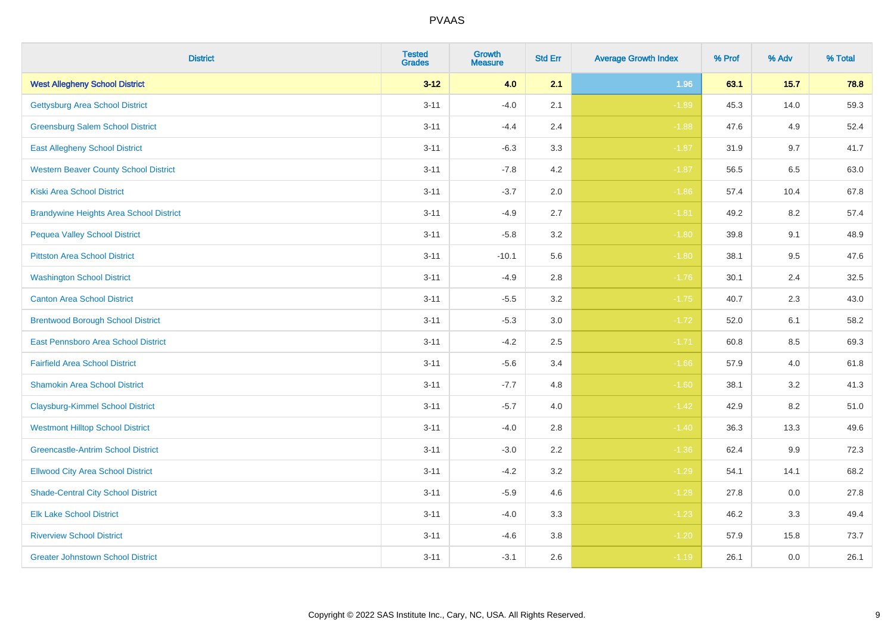| <b>District</b>                                | <b>Tested</b><br><b>Grades</b> | <b>Growth</b><br><b>Measure</b> | <b>Std Err</b> | <b>Average Growth Index</b> | % Prof | % Adv   | % Total |
|------------------------------------------------|--------------------------------|---------------------------------|----------------|-----------------------------|--------|---------|---------|
| <b>West Allegheny School District</b>          | $3 - 12$                       | 4.0                             | 2.1            | 1.96                        | 63.1   | 15.7    | 78.8    |
| <b>Gettysburg Area School District</b>         | $3 - 11$                       | $-4.0$                          | 2.1            | $-1.89$                     | 45.3   | 14.0    | 59.3    |
| <b>Greensburg Salem School District</b>        | $3 - 11$                       | $-4.4$                          | 2.4            | $-1.88$                     | 47.6   | 4.9     | 52.4    |
| <b>East Allegheny School District</b>          | $3 - 11$                       | $-6.3$                          | 3.3            | $-1.87$                     | 31.9   | 9.7     | 41.7    |
| <b>Western Beaver County School District</b>   | $3 - 11$                       | $-7.8$                          | 4.2            | $-1.87$                     | 56.5   | 6.5     | 63.0    |
| <b>Kiski Area School District</b>              | $3 - 11$                       | $-3.7$                          | 2.0            | $-1.86$                     | 57.4   | 10.4    | 67.8    |
| <b>Brandywine Heights Area School District</b> | $3 - 11$                       | $-4.9$                          | 2.7            | $-1.81$                     | 49.2   | 8.2     | 57.4    |
| <b>Pequea Valley School District</b>           | $3 - 11$                       | $-5.8$                          | 3.2            | $-1.80$                     | 39.8   | 9.1     | 48.9    |
| <b>Pittston Area School District</b>           | $3 - 11$                       | $-10.1$                         | 5.6            | $-1.80$                     | 38.1   | 9.5     | 47.6    |
| <b>Washington School District</b>              | $3 - 11$                       | $-4.9$                          | 2.8            | $-1.76$                     | 30.1   | 2.4     | 32.5    |
| <b>Canton Area School District</b>             | $3 - 11$                       | $-5.5$                          | 3.2            | $-1.75$                     | 40.7   | 2.3     | 43.0    |
| <b>Brentwood Borough School District</b>       | $3 - 11$                       | $-5.3$                          | 3.0            | $-1.72$                     | 52.0   | 6.1     | 58.2    |
| <b>East Pennsboro Area School District</b>     | $3 - 11$                       | $-4.2$                          | 2.5            | $-1.71$                     | 60.8   | 8.5     | 69.3    |
| <b>Fairfield Area School District</b>          | $3 - 11$                       | $-5.6$                          | 3.4            | $-1.66$                     | 57.9   | $4.0\,$ | 61.8    |
| <b>Shamokin Area School District</b>           | $3 - 11$                       | $-7.7$                          | 4.8            | $-1.60$                     | 38.1   | 3.2     | 41.3    |
| <b>Claysburg-Kimmel School District</b>        | $3 - 11$                       | $-5.7$                          | 4.0            | $-1.42$                     | 42.9   | 8.2     | 51.0    |
| <b>Westmont Hilltop School District</b>        | $3 - 11$                       | $-4.0$                          | 2.8            | $-1.40$                     | 36.3   | 13.3    | 49.6    |
| <b>Greencastle-Antrim School District</b>      | $3 - 11$                       | $-3.0$                          | 2.2            | $-1.36$                     | 62.4   | 9.9     | 72.3    |
| <b>Ellwood City Area School District</b>       | $3 - 11$                       | $-4.2$                          | 3.2            | $-1.29$                     | 54.1   | 14.1    | 68.2    |
| <b>Shade-Central City School District</b>      | $3 - 11$                       | $-5.9$                          | 4.6            | $-1.28$                     | 27.8   | 0.0     | 27.8    |
| <b>Elk Lake School District</b>                | $3 - 11$                       | $-4.0$                          | 3.3            | $-1.23$                     | 46.2   | 3.3     | 49.4    |
| <b>Riverview School District</b>               | $3 - 11$                       | $-4.6$                          | 3.8            | $-1.20$                     | 57.9   | 15.8    | 73.7    |
| <b>Greater Johnstown School District</b>       | $3 - 11$                       | $-3.1$                          | 2.6            | $-1.19$                     | 26.1   | 0.0     | 26.1    |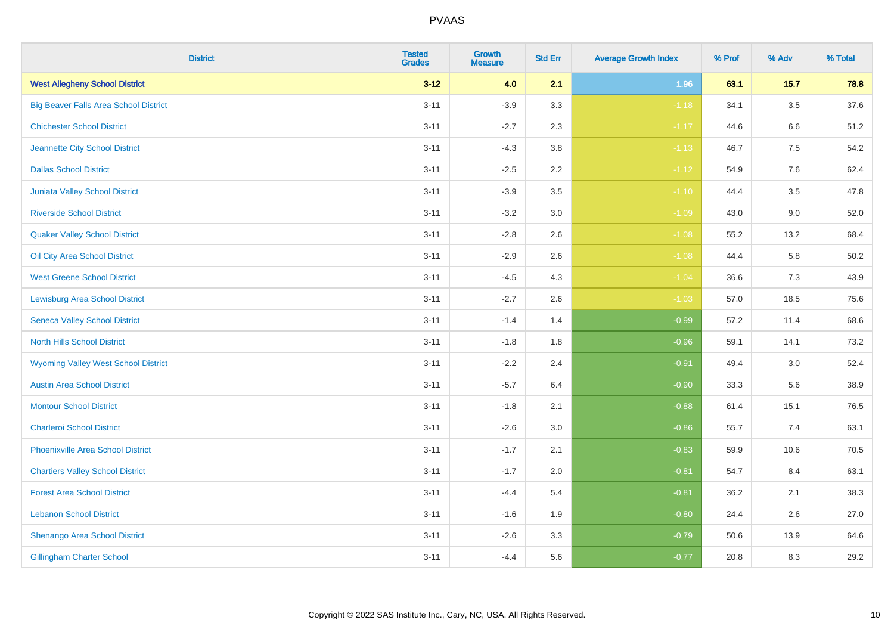| <b>District</b>                              | <b>Tested</b><br>Grades | <b>Growth</b><br><b>Measure</b> | <b>Std Err</b> | <b>Average Growth Index</b> | % Prof | % Adv   | % Total  |
|----------------------------------------------|-------------------------|---------------------------------|----------------|-----------------------------|--------|---------|----------|
| <b>West Allegheny School District</b>        | $3 - 12$                | 4.0                             | 2.1            | 1.96                        | 63.1   | 15.7    | 78.8     |
| <b>Big Beaver Falls Area School District</b> | $3 - 11$                | $-3.9$                          | 3.3            | $-1.18$                     | 34.1   | $3.5\,$ | 37.6     |
| <b>Chichester School District</b>            | $3 - 11$                | $-2.7$                          | 2.3            | $-1.17$                     | 44.6   | 6.6     | 51.2     |
| Jeannette City School District               | $3 - 11$                | $-4.3$                          | $3.8\,$        | $-1.13$                     | 46.7   | 7.5     | 54.2     |
| <b>Dallas School District</b>                | $3 - 11$                | $-2.5$                          | 2.2            | $-1.12$                     | 54.9   | 7.6     | 62.4     |
| Juniata Valley School District               | $3 - 11$                | $-3.9$                          | 3.5            | $-1.10$                     | 44.4   | 3.5     | 47.8     |
| <b>Riverside School District</b>             | $3 - 11$                | $-3.2$                          | 3.0            | $-1.09$                     | 43.0   | 9.0     | 52.0     |
| <b>Quaker Valley School District</b>         | $3 - 11$                | $-2.8$                          | 2.6            | $-1.08$                     | 55.2   | 13.2    | 68.4     |
| Oil City Area School District                | $3 - 11$                | $-2.9$                          | 2.6            | $-1.08$                     | 44.4   | 5.8     | $50.2\,$ |
| <b>West Greene School District</b>           | $3 - 11$                | $-4.5$                          | 4.3            | $-1.04$                     | 36.6   | 7.3     | 43.9     |
| <b>Lewisburg Area School District</b>        | $3 - 11$                | $-2.7$                          | 2.6            | $-1.03$                     | 57.0   | 18.5    | 75.6     |
| <b>Seneca Valley School District</b>         | $3 - 11$                | $-1.4$                          | 1.4            | $-0.99$                     | 57.2   | 11.4    | 68.6     |
| North Hills School District                  | $3 - 11$                | $-1.8$                          | 1.8            | $-0.96$                     | 59.1   | 14.1    | 73.2     |
| <b>Wyoming Valley West School District</b>   | $3 - 11$                | $-2.2$                          | 2.4            | $-0.91$                     | 49.4   | 3.0     | 52.4     |
| <b>Austin Area School District</b>           | $3 - 11$                | $-5.7$                          | 6.4            | $-0.90$                     | 33.3   | 5.6     | 38.9     |
| <b>Montour School District</b>               | $3 - 11$                | $-1.8$                          | 2.1            | $-0.88$                     | 61.4   | 15.1    | 76.5     |
| <b>Charleroi School District</b>             | $3 - 11$                | $-2.6$                          | 3.0            | $-0.86$                     | 55.7   | 7.4     | 63.1     |
| <b>Phoenixville Area School District</b>     | $3 - 11$                | $-1.7$                          | 2.1            | $-0.83$                     | 59.9   | 10.6    | 70.5     |
| <b>Chartiers Valley School District</b>      | $3 - 11$                | $-1.7$                          | 2.0            | $-0.81$                     | 54.7   | 8.4     | 63.1     |
| <b>Forest Area School District</b>           | $3 - 11$                | $-4.4$                          | 5.4            | $-0.81$                     | 36.2   | 2.1     | 38.3     |
| <b>Lebanon School District</b>               | $3 - 11$                | $-1.6$                          | 1.9            | $-0.80$                     | 24.4   | 2.6     | 27.0     |
| Shenango Area School District                | $3 - 11$                | $-2.6$                          | 3.3            | $-0.79$                     | 50.6   | 13.9    | 64.6     |
| <b>Gillingham Charter School</b>             | $3 - 11$                | $-4.4$                          | 5.6            | $-0.77$                     | 20.8   | 8.3     | 29.2     |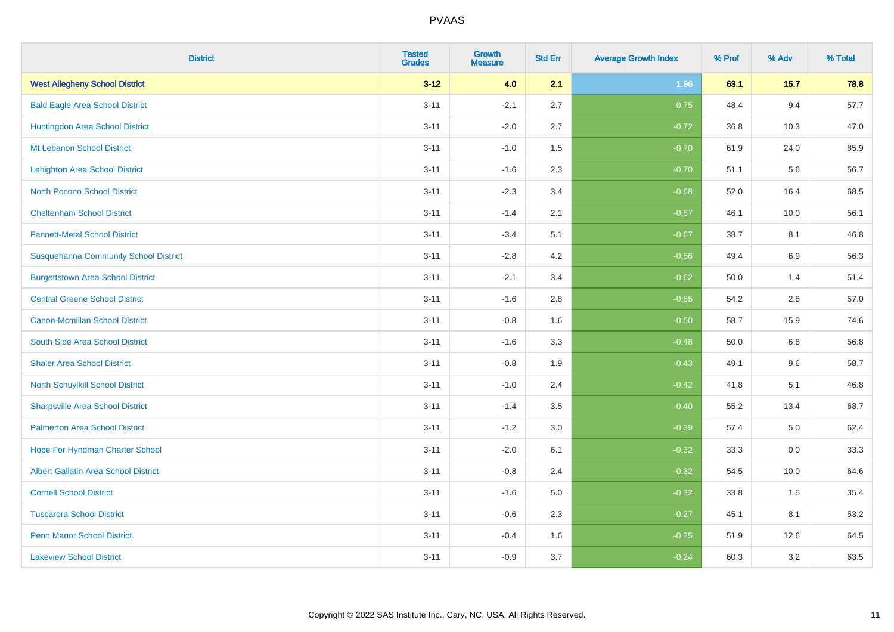| <b>District</b>                              | <b>Tested</b><br><b>Grades</b> | <b>Growth</b><br><b>Measure</b> | <b>Std Err</b> | <b>Average Growth Index</b> | % Prof | % Adv   | % Total |
|----------------------------------------------|--------------------------------|---------------------------------|----------------|-----------------------------|--------|---------|---------|
| <b>West Allegheny School District</b>        | $3 - 12$                       | 4.0                             | 2.1            | 1.96                        | 63.1   | 15.7    | 78.8    |
| <b>Bald Eagle Area School District</b>       | $3 - 11$                       | $-2.1$                          | 2.7            | $-0.75$                     | 48.4   | 9.4     | 57.7    |
| Huntingdon Area School District              | $3 - 11$                       | $-2.0$                          | 2.7            | $-0.72$                     | 36.8   | 10.3    | 47.0    |
| Mt Lebanon School District                   | $3 - 11$                       | $-1.0$                          | 1.5            | $-0.70$                     | 61.9   | 24.0    | 85.9    |
| <b>Lehighton Area School District</b>        | $3 - 11$                       | $-1.6$                          | 2.3            | $-0.70$                     | 51.1   | 5.6     | 56.7    |
| <b>North Pocono School District</b>          | $3 - 11$                       | $-2.3$                          | 3.4            | $-0.68$                     | 52.0   | 16.4    | 68.5    |
| <b>Cheltenham School District</b>            | $3 - 11$                       | $-1.4$                          | 2.1            | $-0.67$                     | 46.1   | 10.0    | 56.1    |
| <b>Fannett-Metal School District</b>         | $3 - 11$                       | $-3.4$                          | 5.1            | $-0.67$                     | 38.7   | 8.1     | 46.8    |
| <b>Susquehanna Community School District</b> | $3 - 11$                       | $-2.8$                          | 4.2            | $-0.66$                     | 49.4   | 6.9     | 56.3    |
| <b>Burgettstown Area School District</b>     | $3 - 11$                       | $-2.1$                          | 3.4            | $-0.62$                     | 50.0   | 1.4     | 51.4    |
| <b>Central Greene School District</b>        | $3 - 11$                       | $-1.6$                          | 2.8            | $-0.55$                     | 54.2   | 2.8     | 57.0    |
| <b>Canon-Mcmillan School District</b>        | $3 - 11$                       | $-0.8$                          | 1.6            | $-0.50$                     | 58.7   | 15.9    | 74.6    |
| South Side Area School District              | $3 - 11$                       | $-1.6$                          | 3.3            | $-0.48$                     | 50.0   | $6.8\,$ | 56.8    |
| <b>Shaler Area School District</b>           | $3 - 11$                       | $-0.8$                          | 1.9            | $-0.43$                     | 49.1   | 9.6     | 58.7    |
| North Schuylkill School District             | $3 - 11$                       | $-1.0$                          | 2.4            | $-0.42$                     | 41.8   | 5.1     | 46.8    |
| <b>Sharpsville Area School District</b>      | $3 - 11$                       | $-1.4$                          | 3.5            | $-0.40$                     | 55.2   | 13.4    | 68.7    |
| <b>Palmerton Area School District</b>        | $3 - 11$                       | $-1.2$                          | 3.0            | $-0.39$                     | 57.4   | 5.0     | 62.4    |
| Hope For Hyndman Charter School              | $3 - 11$                       | $-2.0$                          | 6.1            | $-0.32$                     | 33.3   | 0.0     | 33.3    |
| <b>Albert Gallatin Area School District</b>  | $3 - 11$                       | $-0.8$                          | 2.4            | $-0.32$                     | 54.5   | 10.0    | 64.6    |
| <b>Cornell School District</b>               | $3 - 11$                       | $-1.6$                          | 5.0            | $-0.32$                     | 33.8   | 1.5     | 35.4    |
| <b>Tuscarora School District</b>             | $3 - 11$                       | $-0.6$                          | 2.3            | $-0.27$                     | 45.1   | 8.1     | 53.2    |
| <b>Penn Manor School District</b>            | $3 - 11$                       | $-0.4$                          | 1.6            | $-0.25$                     | 51.9   | 12.6    | 64.5    |
| <b>Lakeview School District</b>              | $3 - 11$                       | $-0.9$                          | 3.7            | $-0.24$                     | 60.3   | 3.2     | 63.5    |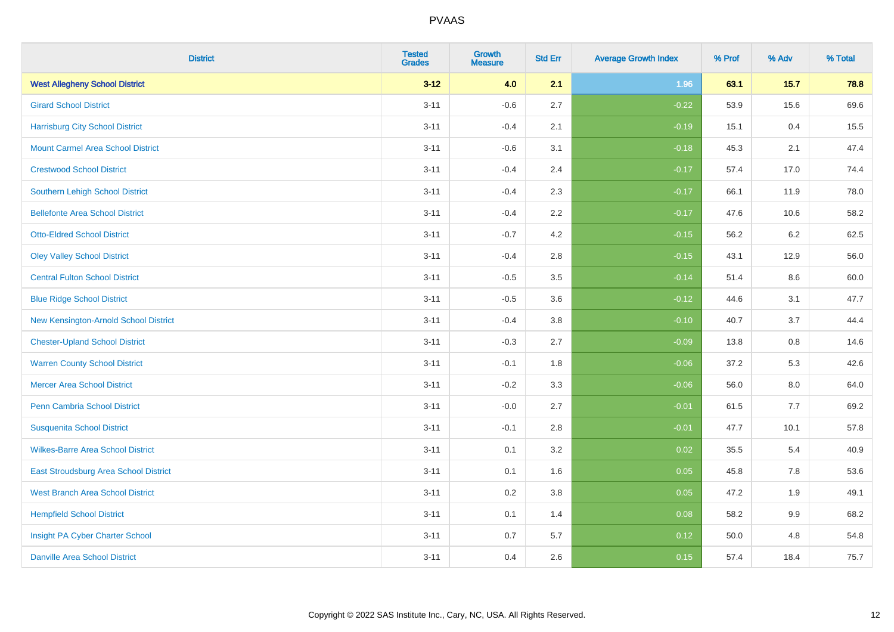| <b>District</b>                          | <b>Tested</b><br><b>Grades</b> | <b>Growth</b><br><b>Measure</b> | <b>Std Err</b> | <b>Average Growth Index</b> | % Prof | % Adv   | % Total |
|------------------------------------------|--------------------------------|---------------------------------|----------------|-----------------------------|--------|---------|---------|
| <b>West Allegheny School District</b>    | $3 - 12$                       | 4.0                             | 2.1            | 1.96                        | 63.1   | 15.7    | 78.8    |
| <b>Girard School District</b>            | $3 - 11$                       | $-0.6$                          | 2.7            | $-0.22$                     | 53.9   | 15.6    | 69.6    |
| <b>Harrisburg City School District</b>   | $3 - 11$                       | $-0.4$                          | 2.1            | $-0.19$                     | 15.1   | 0.4     | 15.5    |
| <b>Mount Carmel Area School District</b> | $3 - 11$                       | $-0.6$                          | 3.1            | $-0.18$                     | 45.3   | 2.1     | 47.4    |
| <b>Crestwood School District</b>         | $3 - 11$                       | $-0.4$                          | 2.4            | $-0.17$                     | 57.4   | 17.0    | 74.4    |
| <b>Southern Lehigh School District</b>   | $3 - 11$                       | $-0.4$                          | 2.3            | $-0.17$                     | 66.1   | 11.9    | 78.0    |
| <b>Bellefonte Area School District</b>   | $3 - 11$                       | $-0.4$                          | 2.2            | $-0.17$                     | 47.6   | 10.6    | 58.2    |
| <b>Otto-Eldred School District</b>       | $3 - 11$                       | $-0.7$                          | 4.2            | $-0.15$                     | 56.2   | $6.2\,$ | 62.5    |
| <b>Oley Valley School District</b>       | $3 - 11$                       | $-0.4$                          | 2.8            | $-0.15$                     | 43.1   | 12.9    | 56.0    |
| <b>Central Fulton School District</b>    | $3 - 11$                       | $-0.5$                          | $3.5\,$        | $-0.14$                     | 51.4   | 8.6     | 60.0    |
| <b>Blue Ridge School District</b>        | $3 - 11$                       | $-0.5$                          | 3.6            | $-0.12$                     | 44.6   | 3.1     | 47.7    |
| New Kensington-Arnold School District    | $3 - 11$                       | $-0.4$                          | 3.8            | $-0.10$                     | 40.7   | 3.7     | 44.4    |
| <b>Chester-Upland School District</b>    | $3 - 11$                       | $-0.3$                          | 2.7            | $-0.09$                     | 13.8   | $0.8\,$ | 14.6    |
| <b>Warren County School District</b>     | $3 - 11$                       | $-0.1$                          | 1.8            | $-0.06$                     | 37.2   | 5.3     | 42.6    |
| <b>Mercer Area School District</b>       | $3 - 11$                       | $-0.2$                          | 3.3            | $-0.06$                     | 56.0   | 8.0     | 64.0    |
| Penn Cambria School District             | $3 - 11$                       | $-0.0$                          | 2.7            | $-0.01$                     | 61.5   | 7.7     | 69.2    |
| <b>Susquenita School District</b>        | $3 - 11$                       | $-0.1$                          | 2.8            | $-0.01$                     | 47.7   | 10.1    | 57.8    |
| <b>Wilkes-Barre Area School District</b> | $3 - 11$                       | 0.1                             | 3.2            | 0.02                        | 35.5   | 5.4     | 40.9    |
| East Stroudsburg Area School District    | $3 - 11$                       | 0.1                             | 1.6            | 0.05                        | 45.8   | 7.8     | 53.6    |
| <b>West Branch Area School District</b>  | $3 - 11$                       | 0.2                             | 3.8            | 0.05                        | 47.2   | 1.9     | 49.1    |
| <b>Hempfield School District</b>         | $3 - 11$                       | 0.1                             | 1.4            | 0.08                        | 58.2   | 9.9     | 68.2    |
| Insight PA Cyber Charter School          | $3 - 11$                       | $0.7\,$                         | 5.7            | 0.12                        | 50.0   | 4.8     | 54.8    |
| <b>Danville Area School District</b>     | $3 - 11$                       | 0.4                             | 2.6            | 0.15                        | 57.4   | 18.4    | 75.7    |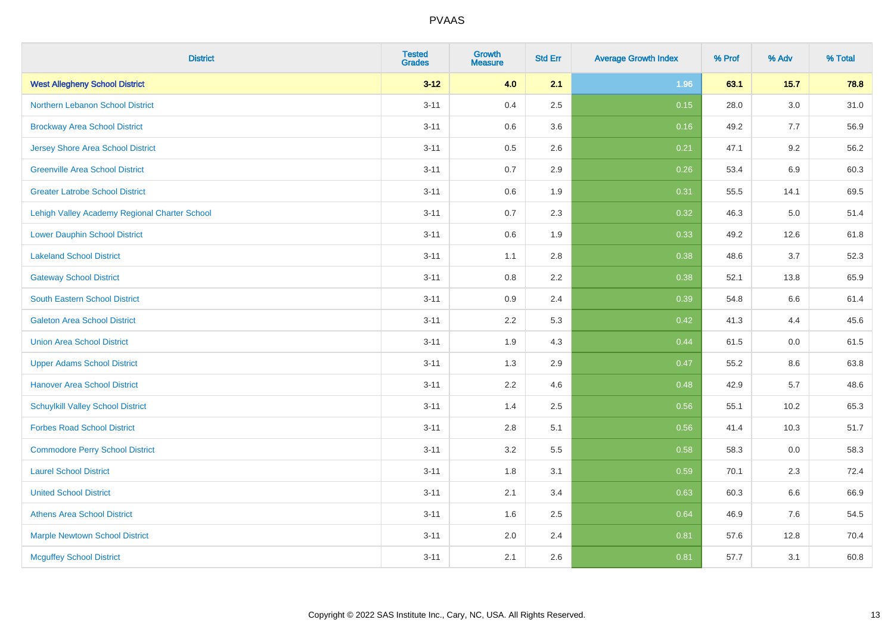| <b>District</b>                               | <b>Tested</b><br><b>Grades</b> | <b>Growth</b><br><b>Measure</b> | <b>Std Err</b> | <b>Average Growth Index</b> | % Prof | % Adv   | % Total |
|-----------------------------------------------|--------------------------------|---------------------------------|----------------|-----------------------------|--------|---------|---------|
| <b>West Allegheny School District</b>         | $3 - 12$                       | 4.0                             | 2.1            | 1.96                        | 63.1   | 15.7    | 78.8    |
| Northern Lebanon School District              | $3 - 11$                       | 0.4                             | 2.5            | 0.15                        | 28.0   | $3.0\,$ | 31.0    |
| <b>Brockway Area School District</b>          | $3 - 11$                       | 0.6                             | 3.6            | 0.16                        | 49.2   | 7.7     | 56.9    |
| <b>Jersey Shore Area School District</b>      | $3 - 11$                       | 0.5                             | 2.6            | 0.21                        | 47.1   | 9.2     | 56.2    |
| <b>Greenville Area School District</b>        | $3 - 11$                       | 0.7                             | 2.9            | 0.26                        | 53.4   | $6.9\,$ | 60.3    |
| <b>Greater Latrobe School District</b>        | $3 - 11$                       | 0.6                             | 1.9            | 0.31                        | 55.5   | 14.1    | 69.5    |
| Lehigh Valley Academy Regional Charter School | $3 - 11$                       | 0.7                             | 2.3            | 0.32                        | 46.3   | 5.0     | 51.4    |
| <b>Lower Dauphin School District</b>          | $3 - 11$                       | 0.6                             | 1.9            | 0.33                        | 49.2   | 12.6    | 61.8    |
| <b>Lakeland School District</b>               | $3 - 11$                       | 1.1                             | 2.8            | 0.38                        | 48.6   | 3.7     | 52.3    |
| <b>Gateway School District</b>                | $3 - 11$                       | 0.8                             | $2.2\,$        | 0.38                        | 52.1   | 13.8    | 65.9    |
| South Eastern School District                 | $3 - 11$                       | 0.9                             | 2.4            | 0.39                        | 54.8   | 6.6     | 61.4    |
| <b>Galeton Area School District</b>           | $3 - 11$                       | 2.2                             | 5.3            | 0.42                        | 41.3   | 4.4     | 45.6    |
| <b>Union Area School District</b>             | $3 - 11$                       | 1.9                             | 4.3            | 0.44                        | 61.5   | $0.0\,$ | 61.5    |
| <b>Upper Adams School District</b>            | $3 - 11$                       | 1.3                             | 2.9            | 0.47                        | 55.2   | 8.6     | 63.8    |
| <b>Hanover Area School District</b>           | $3 - 11$                       | 2.2                             | 4.6            | 0.48                        | 42.9   | 5.7     | 48.6    |
| <b>Schuylkill Valley School District</b>      | $3 - 11$                       | 1.4                             | 2.5            | 0.56                        | 55.1   | 10.2    | 65.3    |
| <b>Forbes Road School District</b>            | $3 - 11$                       | 2.8                             | 5.1            | 0.56                        | 41.4   | 10.3    | 51.7    |
| <b>Commodore Perry School District</b>        | $3 - 11$                       | 3.2                             | 5.5            | 0.58                        | 58.3   | 0.0     | 58.3    |
| <b>Laurel School District</b>                 | $3 - 11$                       | 1.8                             | 3.1            | 0.59                        | 70.1   | 2.3     | 72.4    |
| <b>United School District</b>                 | $3 - 11$                       | 2.1                             | 3.4            | 0.63                        | 60.3   | 6.6     | 66.9    |
| <b>Athens Area School District</b>            | $3 - 11$                       | 1.6                             | 2.5            | 0.64                        | 46.9   | 7.6     | 54.5    |
| <b>Marple Newtown School District</b>         | $3 - 11$                       | 2.0                             | 2.4            | 0.81                        | 57.6   | 12.8    | 70.4    |
| <b>Mcguffey School District</b>               | $3 - 11$                       | 2.1                             | 2.6            | 0.81                        | 57.7   | 3.1     | 60.8    |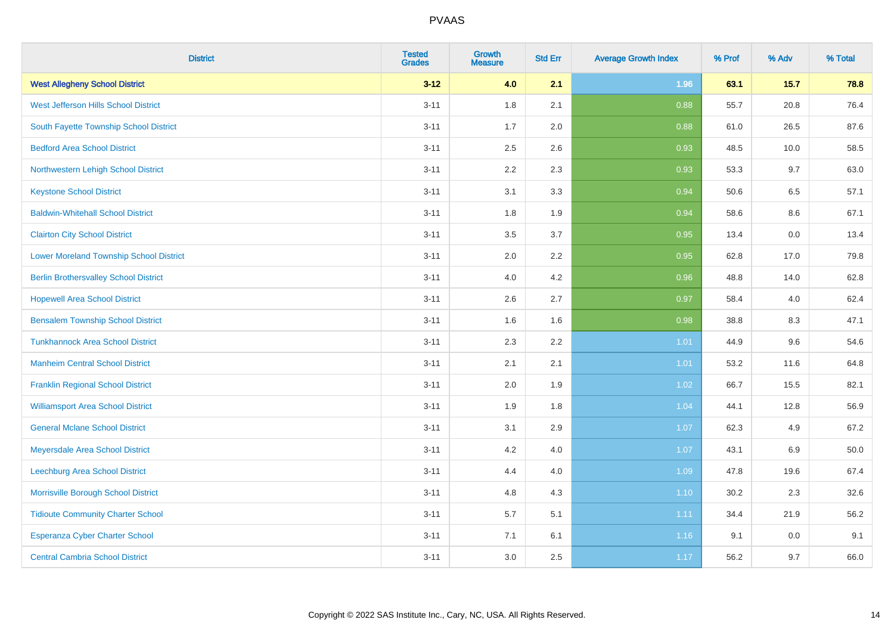| <b>District</b>                                | <b>Tested</b><br><b>Grades</b> | <b>Growth</b><br><b>Measure</b> | <b>Std Err</b> | <b>Average Growth Index</b> | % Prof | % Adv   | % Total |
|------------------------------------------------|--------------------------------|---------------------------------|----------------|-----------------------------|--------|---------|---------|
| <b>West Allegheny School District</b>          | $3 - 12$                       | 4.0                             | 2.1            | 1.96                        | 63.1   | 15.7    | 78.8    |
| West Jefferson Hills School District           | $3 - 11$                       | 1.8                             | 2.1            | 0.88                        | 55.7   | 20.8    | 76.4    |
| South Fayette Township School District         | $3 - 11$                       | 1.7                             | 2.0            | 0.88                        | 61.0   | 26.5    | 87.6    |
| <b>Bedford Area School District</b>            | $3 - 11$                       | 2.5                             | 2.6            | 0.93                        | 48.5   | 10.0    | 58.5    |
| Northwestern Lehigh School District            | $3 - 11$                       | 2.2                             | 2.3            | 0.93                        | 53.3   | 9.7     | 63.0    |
| <b>Keystone School District</b>                | $3 - 11$                       | 3.1                             | 3.3            | 0.94                        | 50.6   | 6.5     | 57.1    |
| <b>Baldwin-Whitehall School District</b>       | $3 - 11$                       | 1.8                             | 1.9            | 0.94                        | 58.6   | 8.6     | 67.1    |
| <b>Clairton City School District</b>           | $3 - 11$                       | 3.5                             | 3.7            | 0.95                        | 13.4   | 0.0     | 13.4    |
| <b>Lower Moreland Township School District</b> | $3 - 11$                       | 2.0                             | 2.2            | 0.95                        | 62.8   | 17.0    | 79.8    |
| <b>Berlin Brothersvalley School District</b>   | $3 - 11$                       | 4.0                             | 4.2            | 0.96                        | 48.8   | 14.0    | 62.8    |
| <b>Hopewell Area School District</b>           | $3 - 11$                       | 2.6                             | 2.7            | 0.97                        | 58.4   | 4.0     | 62.4    |
| <b>Bensalem Township School District</b>       | $3 - 11$                       | 1.6                             | 1.6            | 0.98                        | 38.8   | 8.3     | 47.1    |
| <b>Tunkhannock Area School District</b>        | $3 - 11$                       | 2.3                             | 2.2            | 1.01                        | 44.9   | $9.6\,$ | 54.6    |
| <b>Manheim Central School District</b>         | $3 - 11$                       | 2.1                             | 2.1            | 1.01                        | 53.2   | 11.6    | 64.8    |
| <b>Franklin Regional School District</b>       | $3 - 11$                       | 2.0                             | 1.9            | 1.02                        | 66.7   | 15.5    | 82.1    |
| <b>Williamsport Area School District</b>       | $3 - 11$                       | 1.9                             | 1.8            | 1.04                        | 44.1   | 12.8    | 56.9    |
| <b>General Mclane School District</b>          | $3 - 11$                       | 3.1                             | 2.9            | 1.07                        | 62.3   | 4.9     | 67.2    |
| Meyersdale Area School District                | $3 - 11$                       | 4.2                             | 4.0            | 1.07                        | 43.1   | 6.9     | 50.0    |
| Leechburg Area School District                 | $3 - 11$                       | 4.4                             | 4.0            | 1.09                        | 47.8   | 19.6    | 67.4    |
| Morrisville Borough School District            | $3 - 11$                       | 4.8                             | 4.3            | $1.10$                      | 30.2   | 2.3     | 32.6    |
| <b>Tidioute Community Charter School</b>       | $3 - 11$                       | 5.7                             | 5.1            | 1.11                        | 34.4   | 21.9    | 56.2    |
| Esperanza Cyber Charter School                 | $3 - 11$                       | 7.1                             | 6.1            | 1.16                        | 9.1    | $0.0\,$ | 9.1     |
| <b>Central Cambria School District</b>         | $3 - 11$                       | 3.0                             | 2.5            | 1.17                        | 56.2   | 9.7     | 66.0    |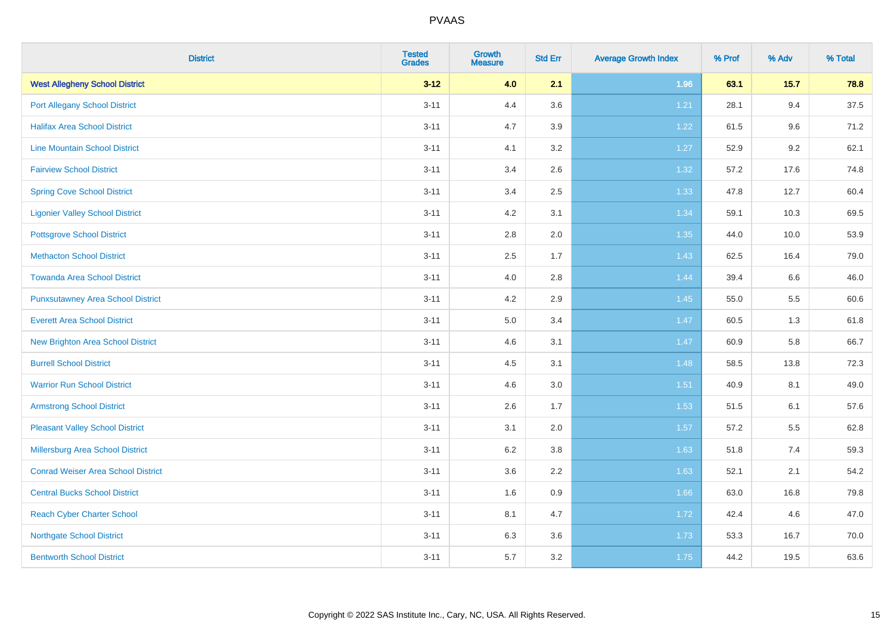| <b>District</b>                           | <b>Tested</b><br><b>Grades</b> | <b>Growth</b><br><b>Measure</b> | <b>Std Err</b> | <b>Average Growth Index</b> | % Prof | % Adv | % Total |
|-------------------------------------------|--------------------------------|---------------------------------|----------------|-----------------------------|--------|-------|---------|
| <b>West Allegheny School District</b>     | $3 - 12$                       | 4.0                             | 2.1            | 1.96                        | 63.1   | 15.7  | 78.8    |
| <b>Port Allegany School District</b>      | $3 - 11$                       | 4.4                             | 3.6            | 1.21                        | 28.1   | 9.4   | 37.5    |
| <b>Halifax Area School District</b>       | $3 - 11$                       | 4.7                             | 3.9            | 1.22                        | 61.5   | 9.6   | 71.2    |
| <b>Line Mountain School District</b>      | $3 - 11$                       | 4.1                             | 3.2            | 1.27                        | 52.9   | 9.2   | 62.1    |
| <b>Fairview School District</b>           | $3 - 11$                       | 3.4                             | 2.6            | $1.32$                      | 57.2   | 17.6  | 74.8    |
| <b>Spring Cove School District</b>        | $3 - 11$                       | 3.4                             | 2.5            | 1.33                        | 47.8   | 12.7  | 60.4    |
| <b>Ligonier Valley School District</b>    | $3 - 11$                       | 4.2                             | 3.1            | 1.34                        | 59.1   | 10.3  | 69.5    |
| <b>Pottsgrove School District</b>         | $3 - 11$                       | 2.8                             | 2.0            | 1.35                        | 44.0   | 10.0  | 53.9    |
| <b>Methacton School District</b>          | $3 - 11$                       | 2.5                             | 1.7            | 1.43                        | 62.5   | 16.4  | 79.0    |
| <b>Towanda Area School District</b>       | $3 - 11$                       | 4.0                             | 2.8            | 1.44                        | 39.4   | 6.6   | 46.0    |
| <b>Punxsutawney Area School District</b>  | $3 - 11$                       | 4.2                             | 2.9            | 1.45                        | 55.0   | 5.5   | 60.6    |
| <b>Everett Area School District</b>       | $3 - 11$                       | 5.0                             | 3.4            | 1.47                        | 60.5   | 1.3   | 61.8    |
| <b>New Brighton Area School District</b>  | $3 - 11$                       | 4.6                             | 3.1            | 1.47                        | 60.9   | 5.8   | 66.7    |
| <b>Burrell School District</b>            | $3 - 11$                       | 4.5                             | 3.1            | 1.48                        | 58.5   | 13.8  | 72.3    |
| <b>Warrior Run School District</b>        | $3 - 11$                       | 4.6                             | 3.0            | 1.51                        | 40.9   | 8.1   | 49.0    |
| <b>Armstrong School District</b>          | $3 - 11$                       | 2.6                             | 1.7            | 1.53                        | 51.5   | 6.1   | 57.6    |
| <b>Pleasant Valley School District</b>    | $3 - 11$                       | 3.1                             | 2.0            | 1.57                        | 57.2   | 5.5   | 62.8    |
| Millersburg Area School District          | $3 - 11$                       | 6.2                             | 3.8            | 1.63                        | 51.8   | 7.4   | 59.3    |
| <b>Conrad Weiser Area School District</b> | $3 - 11$                       | 3.6                             | 2.2            | 1.63                        | 52.1   | 2.1   | 54.2    |
| <b>Central Bucks School District</b>      | $3 - 11$                       | 1.6                             | 0.9            | 1.66                        | 63.0   | 16.8  | 79.8    |
| <b>Reach Cyber Charter School</b>         | $3 - 11$                       | 8.1                             | 4.7            | 1.72                        | 42.4   | 4.6   | 47.0    |
| <b>Northgate School District</b>          | $3 - 11$                       | 6.3                             | 3.6            | 1.73                        | 53.3   | 16.7  | 70.0    |
| <b>Bentworth School District</b>          | $3 - 11$                       | 5.7                             | 3.2            | 1.75                        | 44.2   | 19.5  | 63.6    |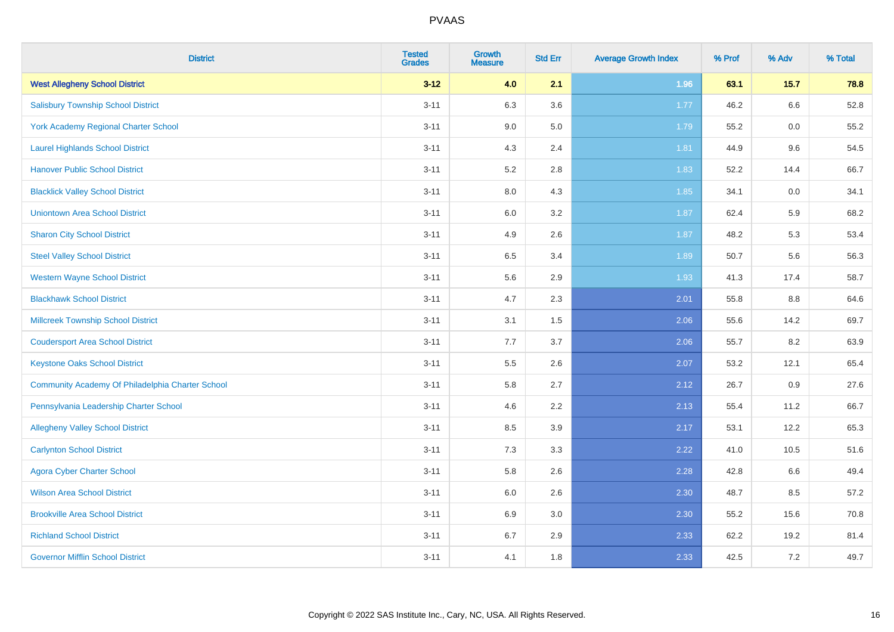| <b>District</b>                                  | <b>Tested</b><br><b>Grades</b> | <b>Growth</b><br><b>Measure</b> | <b>Std Err</b> | <b>Average Growth Index</b> | % Prof | % Adv  | % Total |
|--------------------------------------------------|--------------------------------|---------------------------------|----------------|-----------------------------|--------|--------|---------|
| <b>West Allegheny School District</b>            | $3 - 12$                       | 4.0                             | 2.1            | 1.96                        | 63.1   | $15.7$ | 78.8    |
| <b>Salisbury Township School District</b>        | $3 - 11$                       | 6.3                             | 3.6            | 1.77                        | 46.2   | 6.6    | 52.8    |
| York Academy Regional Charter School             | $3 - 11$                       | 9.0                             | 5.0            | 1.79                        | 55.2   | 0.0    | 55.2    |
| <b>Laurel Highlands School District</b>          | $3 - 11$                       | 4.3                             | 2.4            | 1.81                        | 44.9   | 9.6    | 54.5    |
| <b>Hanover Public School District</b>            | $3 - 11$                       | 5.2                             | 2.8            | 1.83                        | 52.2   | 14.4   | 66.7    |
| <b>Blacklick Valley School District</b>          | $3 - 11$                       | $8.0\,$                         | 4.3            | 1.85                        | 34.1   | 0.0    | 34.1    |
| <b>Uniontown Area School District</b>            | $3 - 11$                       | $6.0\,$                         | 3.2            | 1.87                        | 62.4   | 5.9    | 68.2    |
| <b>Sharon City School District</b>               | $3 - 11$                       | 4.9                             | 2.6            | 1.87                        | 48.2   | 5.3    | 53.4    |
| <b>Steel Valley School District</b>              | $3 - 11$                       | 6.5                             | 3.4            | 1.89                        | 50.7   | 5.6    | 56.3    |
| <b>Western Wayne School District</b>             | $3 - 11$                       | 5.6                             | 2.9            | 1.93                        | 41.3   | 17.4   | 58.7    |
| <b>Blackhawk School District</b>                 | $3 - 11$                       | 4.7                             | 2.3            | 2.01                        | 55.8   | 8.8    | 64.6    |
| <b>Millcreek Township School District</b>        | $3 - 11$                       | 3.1                             | 1.5            | 2.06                        | 55.6   | 14.2   | 69.7    |
| <b>Coudersport Area School District</b>          | $3 - 11$                       | 7.7                             | 3.7            | 2.06                        | 55.7   | 8.2    | 63.9    |
| <b>Keystone Oaks School District</b>             | $3 - 11$                       | $5.5\,$                         | 2.6            | 2.07                        | 53.2   | 12.1   | 65.4    |
| Community Academy Of Philadelphia Charter School | $3 - 11$                       | 5.8                             | 2.7            | 2.12                        | 26.7   | 0.9    | 27.6    |
| Pennsylvania Leadership Charter School           | $3 - 11$                       | 4.6                             | 2.2            | 2.13                        | 55.4   | 11.2   | 66.7    |
| <b>Allegheny Valley School District</b>          | $3 - 11$                       | 8.5                             | 3.9            | 2.17                        | 53.1   | 12.2   | 65.3    |
| <b>Carlynton School District</b>                 | $3 - 11$                       | 7.3                             | 3.3            | 2.22                        | 41.0   | 10.5   | 51.6    |
| <b>Agora Cyber Charter School</b>                | $3 - 11$                       | 5.8                             | 2.6            | 2.28                        | 42.8   | 6.6    | 49.4    |
| <b>Wilson Area School District</b>               | $3 - 11$                       | 6.0                             | 2.6            | 2.30                        | 48.7   | 8.5    | 57.2    |
| <b>Brookville Area School District</b>           | $3 - 11$                       | 6.9                             | 3.0            | 2.30                        | 55.2   | 15.6   | 70.8    |
| <b>Richland School District</b>                  | $3 - 11$                       | 6.7                             | 2.9            | 2.33                        | 62.2   | 19.2   | 81.4    |
| <b>Governor Mifflin School District</b>          | $3 - 11$                       | 4.1                             | 1.8            | 2.33                        | 42.5   | 7.2    | 49.7    |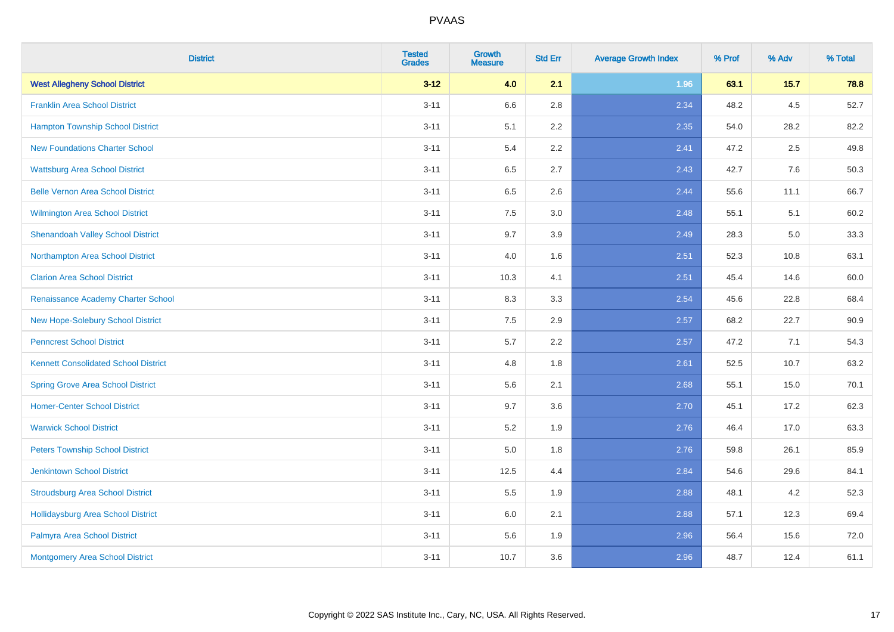| <b>District</b>                             | <b>Tested</b><br><b>Grades</b> | <b>Growth</b><br><b>Measure</b> | <b>Std Err</b> | <b>Average Growth Index</b> | % Prof | % Adv   | % Total |
|---------------------------------------------|--------------------------------|---------------------------------|----------------|-----------------------------|--------|---------|---------|
| <b>West Allegheny School District</b>       | $3 - 12$                       | 4.0                             | 2.1            | 1.96                        | 63.1   | $15.7$  | 78.8    |
| <b>Franklin Area School District</b>        | $3 - 11$                       | 6.6                             | 2.8            | 2.34                        | 48.2   | 4.5     | 52.7    |
| <b>Hampton Township School District</b>     | $3 - 11$                       | 5.1                             | 2.2            | 2.35                        | 54.0   | 28.2    | 82.2    |
| <b>New Foundations Charter School</b>       | $3 - 11$                       | 5.4                             | 2.2            | 2.41                        | 47.2   | $2.5\,$ | 49.8    |
| <b>Wattsburg Area School District</b>       | $3 - 11$                       | 6.5                             | 2.7            | 2.43                        | 42.7   | 7.6     | 50.3    |
| <b>Belle Vernon Area School District</b>    | $3 - 11$                       | 6.5                             | 2.6            | 2.44                        | 55.6   | 11.1    | 66.7    |
| <b>Wilmington Area School District</b>      | $3 - 11$                       | $7.5\,$                         | 3.0            | 2.48                        | 55.1   | 5.1     | 60.2    |
| <b>Shenandoah Valley School District</b>    | $3 - 11$                       | 9.7                             | 3.9            | 2.49                        | 28.3   | 5.0     | 33.3    |
| Northampton Area School District            | $3 - 11$                       | 4.0                             | 1.6            | 2.51                        | 52.3   | 10.8    | 63.1    |
| <b>Clarion Area School District</b>         | $3 - 11$                       | 10.3                            | 4.1            | 2.51                        | 45.4   | 14.6    | 60.0    |
| Renaissance Academy Charter School          | $3 - 11$                       | 8.3                             | 3.3            | 2.54                        | 45.6   | 22.8    | 68.4    |
| <b>New Hope-Solebury School District</b>    | $3 - 11$                       | 7.5                             | 2.9            | 2.57                        | 68.2   | 22.7    | 90.9    |
| <b>Penncrest School District</b>            | $3 - 11$                       | 5.7                             | 2.2            | 2.57                        | 47.2   | 7.1     | 54.3    |
| <b>Kennett Consolidated School District</b> | $3 - 11$                       | 4.8                             | 1.8            | 2.61                        | 52.5   | 10.7    | 63.2    |
| <b>Spring Grove Area School District</b>    | $3 - 11$                       | 5.6                             | 2.1            | 2.68                        | 55.1   | 15.0    | 70.1    |
| <b>Homer-Center School District</b>         | $3 - 11$                       | 9.7                             | 3.6            | 2.70                        | 45.1   | 17.2    | 62.3    |
| <b>Warwick School District</b>              | $3 - 11$                       | 5.2                             | 1.9            | 2.76                        | 46.4   | 17.0    | 63.3    |
| <b>Peters Township School District</b>      | $3 - 11$                       | 5.0                             | 1.8            | 2.76                        | 59.8   | 26.1    | 85.9    |
| <b>Jenkintown School District</b>           | $3 - 11$                       | 12.5                            | 4.4            | 2.84                        | 54.6   | 29.6    | 84.1    |
| <b>Stroudsburg Area School District</b>     | $3 - 11$                       | 5.5                             | 1.9            | 2.88                        | 48.1   | 4.2     | 52.3    |
| <b>Hollidaysburg Area School District</b>   | $3 - 11$                       | 6.0                             | 2.1            | 2.88                        | 57.1   | 12.3    | 69.4    |
| Palmyra Area School District                | $3 - 11$                       | 5.6                             | 1.9            | 2.96                        | 56.4   | 15.6    | 72.0    |
| Montgomery Area School District             | $3 - 11$                       | 10.7                            | 3.6            | 2.96                        | 48.7   | 12.4    | 61.1    |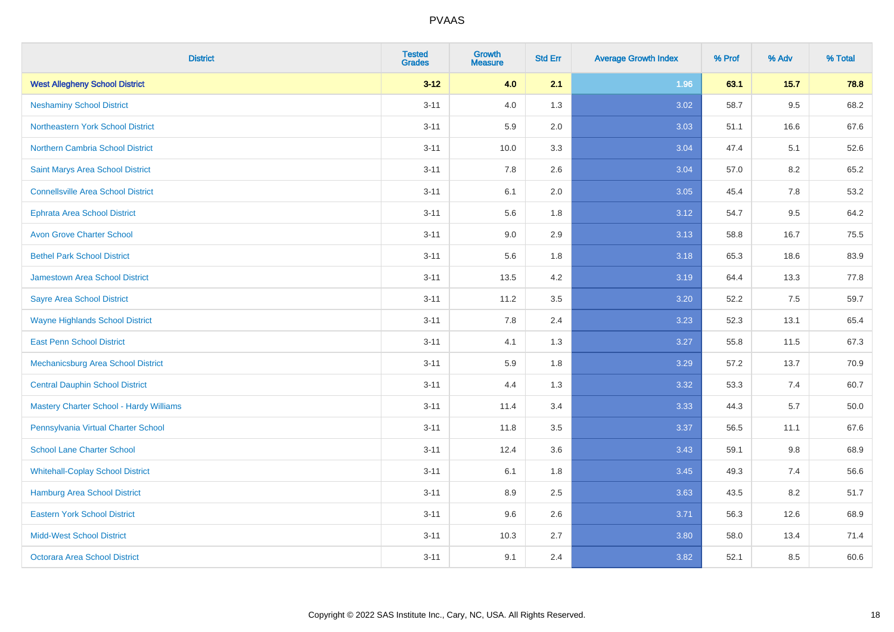| <b>District</b>                                | <b>Tested</b><br><b>Grades</b> | <b>Growth</b><br><b>Measure</b> | <b>Std Err</b> | <b>Average Growth Index</b> | % Prof | % Adv   | % Total |
|------------------------------------------------|--------------------------------|---------------------------------|----------------|-----------------------------|--------|---------|---------|
| <b>West Allegheny School District</b>          | $3 - 12$                       | 4.0                             | 2.1            | 1.96                        | 63.1   | 15.7    | 78.8    |
| <b>Neshaminy School District</b>               | $3 - 11$                       | 4.0                             | 1.3            | 3.02                        | 58.7   | $9.5\,$ | 68.2    |
| Northeastern York School District              | $3 - 11$                       | 5.9                             | 2.0            | 3.03                        | 51.1   | 16.6    | 67.6    |
| <b>Northern Cambria School District</b>        | $3 - 11$                       | 10.0                            | 3.3            | 3.04                        | 47.4   | 5.1     | 52.6    |
| Saint Marys Area School District               | $3 - 11$                       | 7.8                             | 2.6            | 3.04                        | 57.0   | 8.2     | 65.2    |
| <b>Connellsville Area School District</b>      | $3 - 11$                       | 6.1                             | 2.0            | 3.05                        | 45.4   | 7.8     | 53.2    |
| <b>Ephrata Area School District</b>            | $3 - 11$                       | 5.6                             | 1.8            | 3.12                        | 54.7   | 9.5     | 64.2    |
| <b>Avon Grove Charter School</b>               | $3 - 11$                       | 9.0                             | 2.9            | 3.13                        | 58.8   | 16.7    | 75.5    |
| <b>Bethel Park School District</b>             | $3 - 11$                       | 5.6                             | 1.8            | 3.18                        | 65.3   | 18.6    | 83.9    |
| <b>Jamestown Area School District</b>          | $3 - 11$                       | 13.5                            | 4.2            | 3.19                        | 64.4   | 13.3    | 77.8    |
| <b>Sayre Area School District</b>              | $3 - 11$                       | 11.2                            | 3.5            | 3.20                        | 52.2   | 7.5     | 59.7    |
| <b>Wayne Highlands School District</b>         | $3 - 11$                       | 7.8                             | 2.4            | 3.23                        | 52.3   | 13.1    | 65.4    |
| <b>East Penn School District</b>               | $3 - 11$                       | 4.1                             | 1.3            | 3.27                        | 55.8   | 11.5    | 67.3    |
| <b>Mechanicsburg Area School District</b>      | $3 - 11$                       | 5.9                             | 1.8            | 3.29                        | 57.2   | 13.7    | 70.9    |
| <b>Central Dauphin School District</b>         | $3 - 11$                       | 4.4                             | 1.3            | 3.32                        | 53.3   | 7.4     | 60.7    |
| <b>Mastery Charter School - Hardy Williams</b> | $3 - 11$                       | 11.4                            | 3.4            | 3.33                        | 44.3   | 5.7     | 50.0    |
| Pennsylvania Virtual Charter School            | $3 - 11$                       | 11.8                            | 3.5            | 3.37                        | 56.5   | 11.1    | 67.6    |
| <b>School Lane Charter School</b>              | $3 - 11$                       | 12.4                            | 3.6            | 3.43                        | 59.1   | 9.8     | 68.9    |
| <b>Whitehall-Coplay School District</b>        | $3 - 11$                       | 6.1                             | 1.8            | 3.45                        | 49.3   | 7.4     | 56.6    |
| Hamburg Area School District                   | $3 - 11$                       | 8.9                             | 2.5            | 3.63                        | 43.5   | 8.2     | 51.7    |
| <b>Eastern York School District</b>            | $3 - 11$                       | 9.6                             | 2.6            | 3.71                        | 56.3   | 12.6    | 68.9    |
| <b>Midd-West School District</b>               | $3 - 11$                       | 10.3                            | 2.7            | 3.80                        | 58.0   | 13.4    | 71.4    |
| <b>Octorara Area School District</b>           | $3 - 11$                       | 9.1                             | 2.4            | 3.82                        | 52.1   | 8.5     | 60.6    |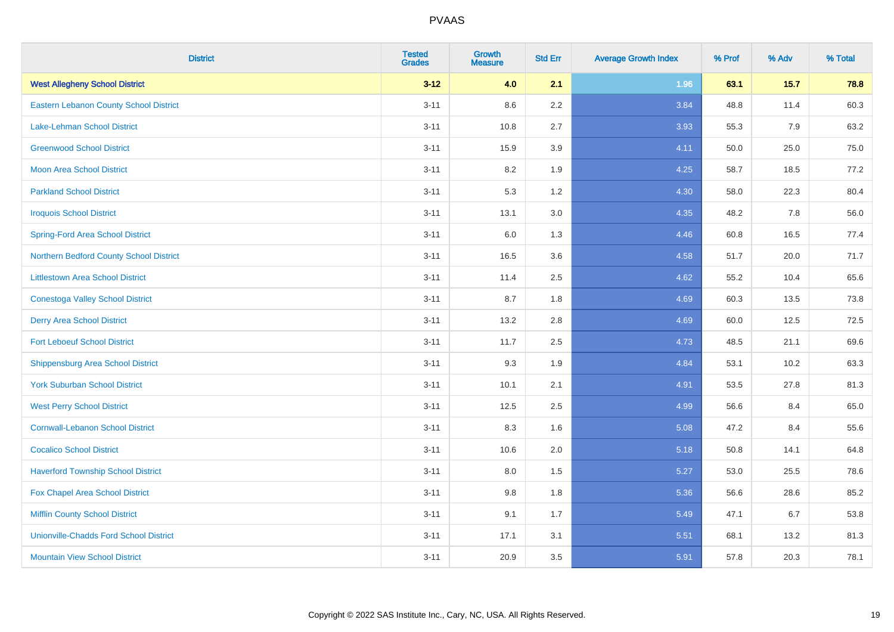| <b>District</b>                               | <b>Tested</b><br><b>Grades</b> | <b>Growth</b><br><b>Measure</b> | <b>Std Err</b> | <b>Average Growth Index</b> | % Prof | % Adv  | % Total |
|-----------------------------------------------|--------------------------------|---------------------------------|----------------|-----------------------------|--------|--------|---------|
| <b>West Allegheny School District</b>         | $3 - 12$                       | 4.0                             | 2.1            | 1.96                        | 63.1   | $15.7$ | 78.8    |
| <b>Eastern Lebanon County School District</b> | $3 - 11$                       | 8.6                             | 2.2            | 3.84                        | 48.8   | 11.4   | 60.3    |
| <b>Lake-Lehman School District</b>            | $3 - 11$                       | 10.8                            | 2.7            | 3.93                        | 55.3   | 7.9    | 63.2    |
| <b>Greenwood School District</b>              | $3 - 11$                       | 15.9                            | 3.9            | 4.11                        | 50.0   | 25.0   | 75.0    |
| <b>Moon Area School District</b>              | $3 - 11$                       | 8.2                             | 1.9            | 4.25                        | 58.7   | 18.5   | 77.2    |
| <b>Parkland School District</b>               | $3 - 11$                       | 5.3                             | 1.2            | 4.30                        | 58.0   | 22.3   | 80.4    |
| <b>Iroquois School District</b>               | $3 - 11$                       | 13.1                            | 3.0            | 4.35                        | 48.2   | 7.8    | 56.0    |
| <b>Spring-Ford Area School District</b>       | $3 - 11$                       | 6.0                             | 1.3            | 4.46                        | 60.8   | 16.5   | 77.4    |
| Northern Bedford County School District       | $3 - 11$                       | 16.5                            | 3.6            | 4.58                        | 51.7   | 20.0   | 71.7    |
| <b>Littlestown Area School District</b>       | $3 - 11$                       | 11.4                            | 2.5            | 4.62                        | 55.2   | 10.4   | 65.6    |
| <b>Conestoga Valley School District</b>       | $3 - 11$                       | 8.7                             | 1.8            | 4.69                        | 60.3   | 13.5   | 73.8    |
| <b>Derry Area School District</b>             | $3 - 11$                       | 13.2                            | 2.8            | 4.69                        | 60.0   | 12.5   | 72.5    |
| <b>Fort Leboeuf School District</b>           | $3 - 11$                       | 11.7                            | 2.5            | 4.73                        | 48.5   | 21.1   | 69.6    |
| <b>Shippensburg Area School District</b>      | $3 - 11$                       | 9.3                             | 1.9            | 4.84                        | 53.1   | 10.2   | 63.3    |
| <b>York Suburban School District</b>          | $3 - 11$                       | 10.1                            | 2.1            | 4.91                        | 53.5   | 27.8   | 81.3    |
| <b>West Perry School District</b>             | $3 - 11$                       | 12.5                            | 2.5            | 4.99                        | 56.6   | 8.4    | 65.0    |
| <b>Cornwall-Lebanon School District</b>       | $3 - 11$                       | 8.3                             | 1.6            | 5.08                        | 47.2   | 8.4    | 55.6    |
| <b>Cocalico School District</b>               | $3 - 11$                       | 10.6                            | 2.0            | 5.18                        | 50.8   | 14.1   | 64.8    |
| <b>Haverford Township School District</b>     | $3 - 11$                       | 8.0                             | 1.5            | 5.27                        | 53.0   | 25.5   | 78.6    |
| Fox Chapel Area School District               | $3 - 11$                       | 9.8                             | 1.8            | 5.36                        | 56.6   | 28.6   | 85.2    |
| <b>Mifflin County School District</b>         | $3 - 11$                       | 9.1                             | 1.7            | 5.49                        | 47.1   | 6.7    | 53.8    |
| <b>Unionville-Chadds Ford School District</b> | $3 - 11$                       | 17.1                            | 3.1            | 5.51                        | 68.1   | 13.2   | 81.3    |
| <b>Mountain View School District</b>          | $3 - 11$                       | 20.9                            | 3.5            | 5.91                        | 57.8   | 20.3   | 78.1    |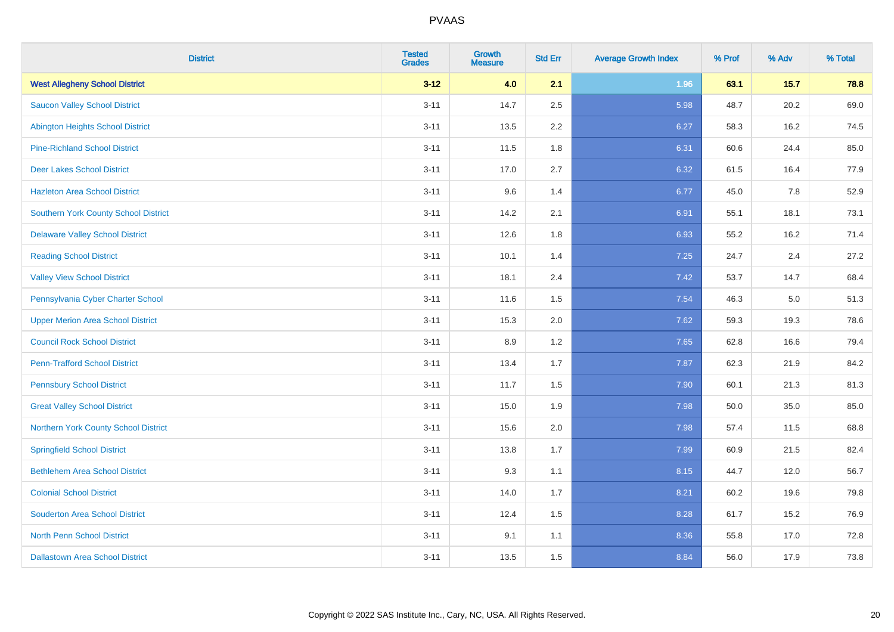| <b>District</b>                             | <b>Tested</b><br><b>Grades</b> | <b>Growth</b><br><b>Measure</b> | <b>Std Err</b> | <b>Average Growth Index</b> | % Prof | % Adv | % Total |
|---------------------------------------------|--------------------------------|---------------------------------|----------------|-----------------------------|--------|-------|---------|
| <b>West Allegheny School District</b>       | $3 - 12$                       | 4.0                             | 2.1            | 1.96                        | 63.1   | 15.7  | 78.8    |
| <b>Saucon Valley School District</b>        | $3 - 11$                       | 14.7                            | 2.5            | 5.98                        | 48.7   | 20.2  | 69.0    |
| <b>Abington Heights School District</b>     | $3 - 11$                       | 13.5                            | 2.2            | 6.27                        | 58.3   | 16.2  | 74.5    |
| <b>Pine-Richland School District</b>        | $3 - 11$                       | 11.5                            | 1.8            | 6.31                        | 60.6   | 24.4  | 85.0    |
| <b>Deer Lakes School District</b>           | $3 - 11$                       | 17.0                            | 2.7            | 6.32                        | 61.5   | 16.4  | 77.9    |
| <b>Hazleton Area School District</b>        | $3 - 11$                       | 9.6                             | 1.4            | 6.77                        | 45.0   | 7.8   | 52.9    |
| Southern York County School District        | $3 - 11$                       | 14.2                            | 2.1            | 6.91                        | 55.1   | 18.1  | 73.1    |
| <b>Delaware Valley School District</b>      | $3 - 11$                       | 12.6                            | 1.8            | 6.93                        | 55.2   | 16.2  | 71.4    |
| <b>Reading School District</b>              | $3 - 11$                       | 10.1                            | 1.4            | 7.25                        | 24.7   | 2.4   | 27.2    |
| <b>Valley View School District</b>          | $3 - 11$                       | 18.1                            | 2.4            | 7.42                        | 53.7   | 14.7  | 68.4    |
| Pennsylvania Cyber Charter School           | $3 - 11$                       | 11.6                            | 1.5            | 7.54                        | 46.3   | 5.0   | 51.3    |
| <b>Upper Merion Area School District</b>    | $3 - 11$                       | 15.3                            | 2.0            | 7.62                        | 59.3   | 19.3  | 78.6    |
| <b>Council Rock School District</b>         | $3 - 11$                       | 8.9                             | 1.2            | 7.65                        | 62.8   | 16.6  | 79.4    |
| <b>Penn-Trafford School District</b>        | $3 - 11$                       | 13.4                            | 1.7            | 7.87                        | 62.3   | 21.9  | 84.2    |
| <b>Pennsbury School District</b>            | $3 - 11$                       | 11.7                            | 1.5            | 7.90                        | 60.1   | 21.3  | 81.3    |
| <b>Great Valley School District</b>         | $3 - 11$                       | 15.0                            | 1.9            | 7.98                        | 50.0   | 35.0  | 85.0    |
| <b>Northern York County School District</b> | $3 - 11$                       | 15.6                            | 2.0            | 7.98                        | 57.4   | 11.5  | 68.8    |
| <b>Springfield School District</b>          | $3 - 11$                       | 13.8                            | 1.7            | 7.99                        | 60.9   | 21.5  | 82.4    |
| <b>Bethlehem Area School District</b>       | $3 - 11$                       | 9.3                             | 1.1            | 8.15                        | 44.7   | 12.0  | 56.7    |
| <b>Colonial School District</b>             | $3 - 11$                       | 14.0                            | 1.7            | 8.21                        | 60.2   | 19.6  | 79.8    |
| <b>Souderton Area School District</b>       | $3 - 11$                       | 12.4                            | 1.5            | 8.28                        | 61.7   | 15.2  | 76.9    |
| <b>North Penn School District</b>           | $3 - 11$                       | 9.1                             | 1.1            | 8.36                        | 55.8   | 17.0  | 72.8    |
| <b>Dallastown Area School District</b>      | $3 - 11$                       | 13.5                            | 1.5            | 8.84                        | 56.0   | 17.9  | 73.8    |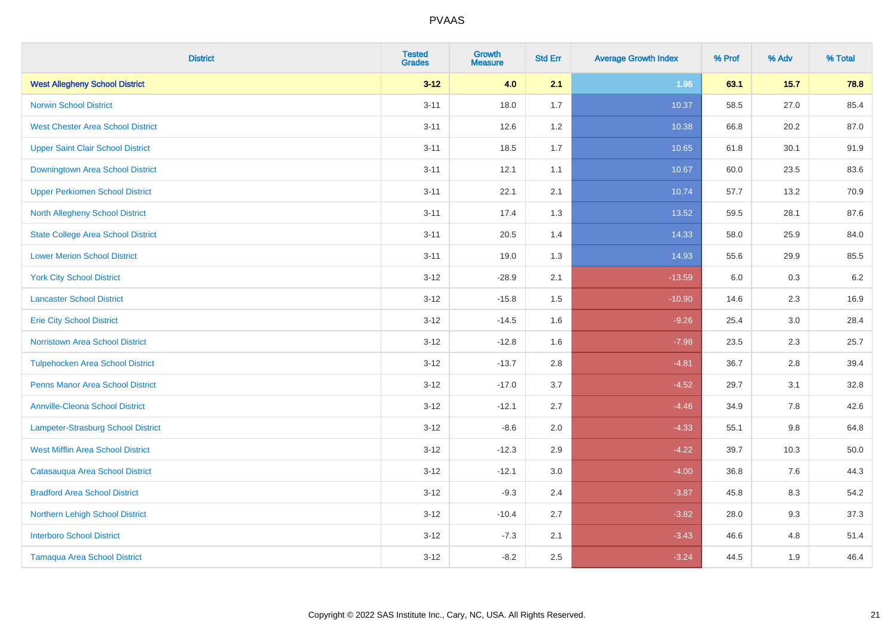| <b>District</b>                           | <b>Tested</b><br><b>Grades</b> | Growth<br><b>Measure</b> | <b>Std Err</b> | <b>Average Growth Index</b> | % Prof | % Adv   | % Total |
|-------------------------------------------|--------------------------------|--------------------------|----------------|-----------------------------|--------|---------|---------|
| <b>West Allegheny School District</b>     | $3 - 12$                       | 4.0                      | 2.1            | 1.96                        | 63.1   | $15.7$  | 78.8    |
| <b>Norwin School District</b>             | $3 - 11$                       | 18.0                     | 1.7            | 10.37                       | 58.5   | 27.0    | 85.4    |
| <b>West Chester Area School District</b>  | $3 - 11$                       | 12.6                     | 1.2            | 10.38                       | 66.8   | 20.2    | 87.0    |
| <b>Upper Saint Clair School District</b>  | $3 - 11$                       | 18.5                     | 1.7            | 10.65                       | 61.8   | 30.1    | 91.9    |
| Downingtown Area School District          | $3 - 11$                       | 12.1                     | 1.1            | 10.67                       | 60.0   | 23.5    | 83.6    |
| <b>Upper Perkiomen School District</b>    | $3 - 11$                       | 22.1                     | 2.1            | 10.74                       | 57.7   | 13.2    | 70.9    |
| North Allegheny School District           | $3 - 11$                       | 17.4                     | 1.3            | 13.52                       | 59.5   | 28.1    | 87.6    |
| <b>State College Area School District</b> | $3 - 11$                       | 20.5                     | 1.4            | 14.33                       | 58.0   | 25.9    | 84.0    |
| <b>Lower Merion School District</b>       | $3 - 11$                       | 19.0                     | 1.3            | 14.93                       | 55.6   | 29.9    | 85.5    |
| <b>York City School District</b>          | $3 - 12$                       | $-28.9$                  | 2.1            | $-13.59$                    | 6.0    | 0.3     | 6.2     |
| <b>Lancaster School District</b>          | $3 - 12$                       | $-15.8$                  | 1.5            | $-10.90$                    | 14.6   | 2.3     | 16.9    |
| <b>Erie City School District</b>          | $3-12$                         | $-14.5$                  | 1.6            | $-9.26$                     | 25.4   | 3.0     | 28.4    |
| <b>Norristown Area School District</b>    | $3 - 12$                       | $-12.8$                  | 1.6            | $-7.98$                     | 23.5   | $2.3\,$ | 25.7    |
| <b>Tulpehocken Area School District</b>   | $3 - 12$                       | $-13.7$                  | 2.8            | $-4.81$                     | 36.7   | 2.8     | 39.4    |
| <b>Penns Manor Area School District</b>   | $3 - 12$                       | $-17.0$                  | 3.7            | $-4.52$                     | 29.7   | 3.1     | 32.8    |
| <b>Annville-Cleona School District</b>    | $3 - 12$                       | $-12.1$                  | 2.7            | $-4.46$                     | 34.9   | 7.8     | 42.6    |
| <b>Lampeter-Strasburg School District</b> | $3 - 12$                       | $-8.6$                   | 2.0            | $-4.33$                     | 55.1   | 9.8     | 64.8    |
| <b>West Mifflin Area School District</b>  | $3 - 12$                       | $-12.3$                  | 2.9            | $-4.22$                     | 39.7   | 10.3    | 50.0    |
| Catasauqua Area School District           | $3 - 12$                       | $-12.1$                  | 3.0            | $-4.00$                     | 36.8   | 7.6     | 44.3    |
| <b>Bradford Area School District</b>      | $3 - 12$                       | $-9.3$                   | 2.4            | $-3.87$                     | 45.8   | 8.3     | 54.2    |
| Northern Lehigh School District           | $3 - 12$                       | $-10.4$                  | 2.7            | $-3.82$                     | 28.0   | 9.3     | 37.3    |
| <b>Interboro School District</b>          | $3 - 12$                       | $-7.3$                   | 2.1            | $-3.43$                     | 46.6   | 4.8     | 51.4    |
| <b>Tamaqua Area School District</b>       | $3-12$                         | $-8.2$                   | 2.5            | $-3.24$                     | 44.5   | 1.9     | 46.4    |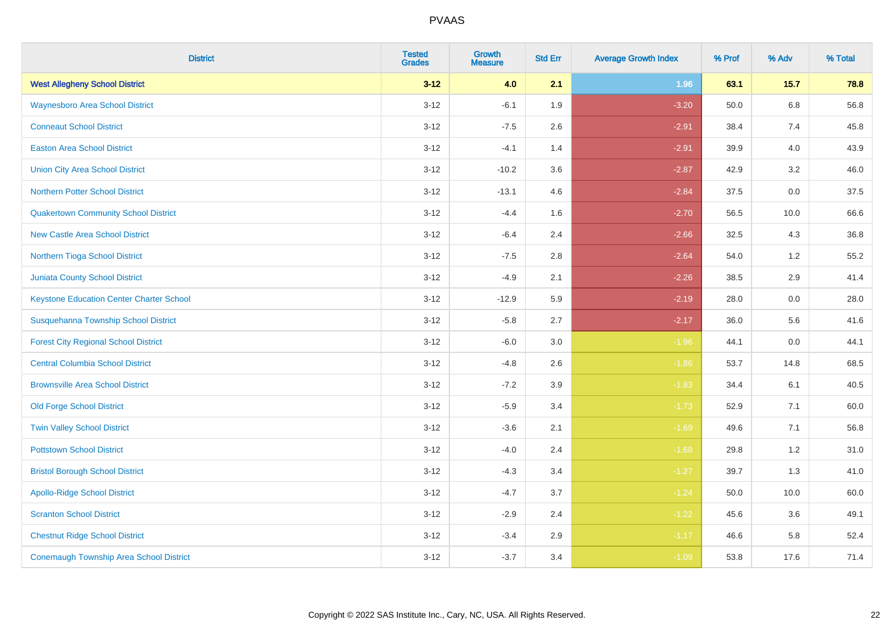| <b>District</b>                                 | <b>Tested</b><br><b>Grades</b> | <b>Growth</b><br><b>Measure</b> | <b>Std Err</b> | <b>Average Growth Index</b> | % Prof | % Adv   | % Total |
|-------------------------------------------------|--------------------------------|---------------------------------|----------------|-----------------------------|--------|---------|---------|
| <b>West Allegheny School District</b>           | $3 - 12$                       | 4.0                             | 2.1            | 1.96                        | 63.1   | 15.7    | 78.8    |
| <b>Waynesboro Area School District</b>          | $3 - 12$                       | $-6.1$                          | 1.9            | $-3.20$                     | 50.0   | $6.8\,$ | 56.8    |
| <b>Conneaut School District</b>                 | $3 - 12$                       | $-7.5$                          | 2.6            | $-2.91$                     | 38.4   | 7.4     | 45.8    |
| <b>Easton Area School District</b>              | $3 - 12$                       | $-4.1$                          | 1.4            | $-2.91$                     | 39.9   | 4.0     | 43.9    |
| <b>Union City Area School District</b>          | $3-12$                         | $-10.2$                         | 3.6            | $-2.87$                     | 42.9   | 3.2     | 46.0    |
| <b>Northern Potter School District</b>          | $3 - 12$                       | $-13.1$                         | 4.6            | $-2.84$                     | 37.5   | 0.0     | 37.5    |
| <b>Quakertown Community School District</b>     | $3 - 12$                       | $-4.4$                          | 1.6            | $-2.70$                     | 56.5   | 10.0    | 66.6    |
| <b>New Castle Area School District</b>          | $3 - 12$                       | $-6.4$                          | 2.4            | $-2.66$                     | 32.5   | 4.3     | 36.8    |
| Northern Tioga School District                  | $3 - 12$                       | $-7.5$                          | 2.8            | $-2.64$                     | 54.0   | 1.2     | 55.2    |
| <b>Juniata County School District</b>           | $3-12$                         | $-4.9$                          | 2.1            | $-2.26$                     | 38.5   | 2.9     | 41.4    |
| <b>Keystone Education Center Charter School</b> | $3 - 12$                       | $-12.9$                         | 5.9            | $-2.19$                     | 28.0   | 0.0     | 28.0    |
| Susquehanna Township School District            | $3 - 12$                       | $-5.8$                          | 2.7            | $-2.17$                     | 36.0   | 5.6     | 41.6    |
| <b>Forest City Regional School District</b>     | $3 - 12$                       | $-6.0$                          | $3.0\,$        | $-1.96$                     | 44.1   | $0.0\,$ | 44.1    |
| <b>Central Columbia School District</b>         | $3 - 12$                       | $-4.8$                          | 2.6            | $-1.86$                     | 53.7   | 14.8    | 68.5    |
| <b>Brownsville Area School District</b>         | $3 - 12$                       | $-7.2$                          | 3.9            | $-1.83$                     | 34.4   | 6.1     | 40.5    |
| <b>Old Forge School District</b>                | $3 - 12$                       | $-5.9$                          | 3.4            | $-1.73$                     | 52.9   | 7.1     | 60.0    |
| <b>Twin Valley School District</b>              | $3 - 12$                       | $-3.6$                          | 2.1            | $-1.69$                     | 49.6   | 7.1     | 56.8    |
| <b>Pottstown School District</b>                | $3 - 12$                       | $-4.0$                          | 2.4            | $-1.68$                     | 29.8   | 1.2     | 31.0    |
| <b>Bristol Borough School District</b>          | $3 - 12$                       | $-4.3$                          | 3.4            | $-1.27$                     | 39.7   | 1.3     | 41.0    |
| <b>Apollo-Ridge School District</b>             | $3 - 12$                       | $-4.7$                          | 3.7            | $-1.24$                     | 50.0   | 10.0    | 60.0    |
| <b>Scranton School District</b>                 | $3-12$                         | $-2.9$                          | 2.4            | $-1.22$                     | 45.6   | 3.6     | 49.1    |
| <b>Chestnut Ridge School District</b>           | $3 - 12$                       | $-3.4$                          | 2.9            | $-1.17$                     | 46.6   | 5.8     | 52.4    |
| <b>Conemaugh Township Area School District</b>  | $3 - 12$                       | $-3.7$                          | 3.4            | $-1.09$                     | 53.8   | 17.6    | 71.4    |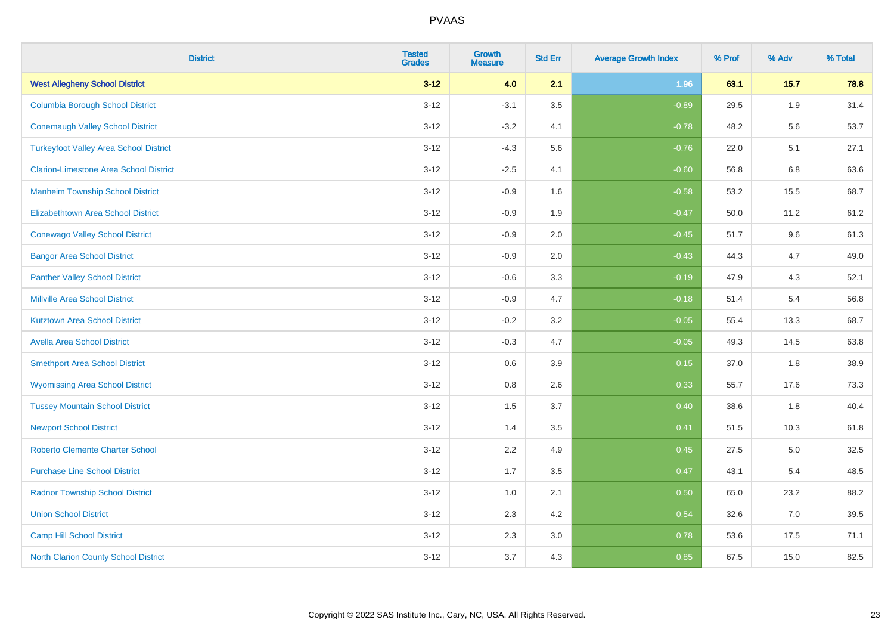| <b>District</b>                               | <b>Tested</b><br><b>Grades</b> | <b>Growth</b><br><b>Measure</b> | <b>Std Err</b> | <b>Average Growth Index</b> | % Prof | % Adv | % Total |
|-----------------------------------------------|--------------------------------|---------------------------------|----------------|-----------------------------|--------|-------|---------|
| <b>West Allegheny School District</b>         | $3 - 12$                       | 4.0                             | 2.1            | 1.96                        | 63.1   | 15.7  | 78.8    |
| <b>Columbia Borough School District</b>       | $3 - 12$                       | $-3.1$                          | 3.5            | $-0.89$                     | 29.5   | 1.9   | 31.4    |
| <b>Conemaugh Valley School District</b>       | $3 - 12$                       | $-3.2$                          | 4.1            | $-0.78$                     | 48.2   | 5.6   | 53.7    |
| <b>Turkeyfoot Valley Area School District</b> | $3 - 12$                       | $-4.3$                          | 5.6            | $-0.76$                     | 22.0   | 5.1   | 27.1    |
| <b>Clarion-Limestone Area School District</b> | $3 - 12$                       | $-2.5$                          | 4.1            | $-0.60$                     | 56.8   | 6.8   | 63.6    |
| <b>Manheim Township School District</b>       | $3 - 12$                       | $-0.9$                          | 1.6            | $-0.58$                     | 53.2   | 15.5  | 68.7    |
| Elizabethtown Area School District            | $3 - 12$                       | $-0.9$                          | 1.9            | $-0.47$                     | 50.0   | 11.2  | 61.2    |
| <b>Conewago Valley School District</b>        | $3 - 12$                       | $-0.9$                          | 2.0            | $-0.45$                     | 51.7   | 9.6   | 61.3    |
| <b>Bangor Area School District</b>            | $3 - 12$                       | $-0.9$                          | 2.0            | $-0.43$                     | 44.3   | 4.7   | 49.0    |
| <b>Panther Valley School District</b>         | $3 - 12$                       | $-0.6$                          | 3.3            | $-0.19$                     | 47.9   | 4.3   | 52.1    |
| <b>Millville Area School District</b>         | $3 - 12$                       | $-0.9$                          | 4.7            | $-0.18$                     | 51.4   | 5.4   | 56.8    |
| <b>Kutztown Area School District</b>          | $3 - 12$                       | $-0.2$                          | 3.2            | $-0.05$                     | 55.4   | 13.3  | 68.7    |
| <b>Avella Area School District</b>            | $3 - 12$                       | $-0.3$                          | 4.7            | $-0.05$                     | 49.3   | 14.5  | 63.8    |
| <b>Smethport Area School District</b>         | $3 - 12$                       | 0.6                             | 3.9            | 0.15                        | 37.0   | 1.8   | 38.9    |
| <b>Wyomissing Area School District</b>        | $3 - 12$                       | 0.8                             | 2.6            | 0.33                        | 55.7   | 17.6  | 73.3    |
| <b>Tussey Mountain School District</b>        | $3 - 12$                       | 1.5                             | 3.7            | 0.40                        | 38.6   | 1.8   | 40.4    |
| <b>Newport School District</b>                | $3 - 12$                       | 1.4                             | 3.5            | 0.41                        | 51.5   | 10.3  | 61.8    |
| <b>Roberto Clemente Charter School</b>        | $3 - 12$                       | 2.2                             | 4.9            | 0.45                        | 27.5   | 5.0   | 32.5    |
| <b>Purchase Line School District</b>          | $3 - 12$                       | 1.7                             | 3.5            | 0.47                        | 43.1   | 5.4   | 48.5    |
| <b>Radnor Township School District</b>        | $3 - 12$                       | 1.0                             | 2.1            | 0.50                        | 65.0   | 23.2  | 88.2    |
| <b>Union School District</b>                  | $3 - 12$                       | 2.3                             | 4.2            | 0.54                        | 32.6   | 7.0   | 39.5    |
| <b>Camp Hill School District</b>              | $3 - 12$                       | 2.3                             | 3.0            | 0.78                        | 53.6   | 17.5  | 71.1    |
| North Clarion County School District          | $3 - 12$                       | 3.7                             | 4.3            | 0.85                        | 67.5   | 15.0  | 82.5    |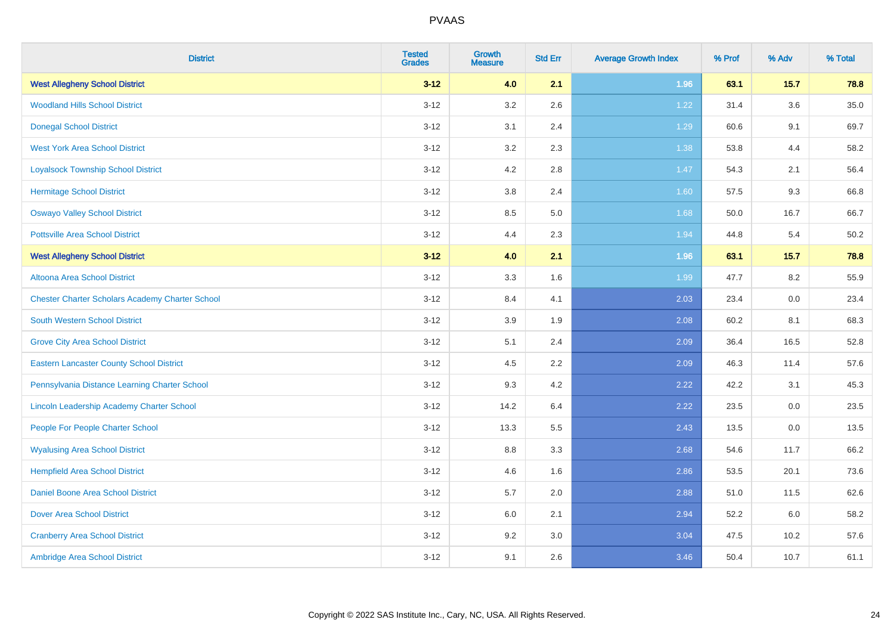| <b>District</b>                                        | <b>Tested</b><br><b>Grades</b> | Growth<br><b>Measure</b> | <b>Std Err</b> | <b>Average Growth Index</b> | % Prof | % Adv  | % Total |
|--------------------------------------------------------|--------------------------------|--------------------------|----------------|-----------------------------|--------|--------|---------|
| <b>West Allegheny School District</b>                  | $3 - 12$                       | 4.0                      | 2.1            | 1.96                        | 63.1   | $15.7$ | 78.8    |
| <b>Woodland Hills School District</b>                  | $3 - 12$                       | 3.2                      | 2.6            | 1.22                        | 31.4   | 3.6    | 35.0    |
| <b>Donegal School District</b>                         | $3 - 12$                       | 3.1                      | 2.4            | 1.29                        | 60.6   | 9.1    | 69.7    |
| <b>West York Area School District</b>                  | $3 - 12$                       | $3.2\,$                  | 2.3            | 1.38                        | 53.8   | 4.4    | 58.2    |
| <b>Loyalsock Township School District</b>              | $3 - 12$                       | 4.2                      | 2.8            | 1.47                        | 54.3   | 2.1    | 56.4    |
| <b>Hermitage School District</b>                       | $3 - 12$                       | $3.8\,$                  | 2.4            | 1.60                        | 57.5   | 9.3    | 66.8    |
| <b>Oswayo Valley School District</b>                   | $3 - 12$                       | 8.5                      | 5.0            | 1.68                        | 50.0   | 16.7   | 66.7    |
| <b>Pottsville Area School District</b>                 | $3 - 12$                       | 4.4                      | 2.3            | 1.94                        | 44.8   | 5.4    | 50.2    |
| <b>West Allegheny School District</b>                  | $3 - 12$                       | 4.0                      | 2.1            | 1.96                        | 63.1   | 15.7   | 78.8    |
| <b>Altoona Area School District</b>                    | $3 - 12$                       | 3.3                      | 1.6            | 1.99                        | 47.7   | 8.2    | 55.9    |
| <b>Chester Charter Scholars Academy Charter School</b> | $3 - 12$                       | 8.4                      | 4.1            | 2.03                        | 23.4   | 0.0    | 23.4    |
| <b>South Western School District</b>                   | $3 - 12$                       | 3.9                      | 1.9            | 2.08                        | 60.2   | 8.1    | 68.3    |
| <b>Grove City Area School District</b>                 | $3 - 12$                       | 5.1                      | 2.4            | 2.09                        | 36.4   | 16.5   | 52.8    |
| <b>Eastern Lancaster County School District</b>        | $3 - 12$                       | 4.5                      | 2.2            | 2.09                        | 46.3   | 11.4   | 57.6    |
| Pennsylvania Distance Learning Charter School          | $3 - 12$                       | 9.3                      | 4.2            | 2.22                        | 42.2   | 3.1    | 45.3    |
| Lincoln Leadership Academy Charter School              | $3 - 12$                       | 14.2                     | 6.4            | 2.22                        | 23.5   | 0.0    | 23.5    |
| People For People Charter School                       | $3 - 12$                       | 13.3                     | 5.5            | 2.43                        | 13.5   | 0.0    | 13.5    |
| <b>Wyalusing Area School District</b>                  | $3 - 12$                       | 8.8                      | 3.3            | 2.68                        | 54.6   | 11.7   | 66.2    |
| <b>Hempfield Area School District</b>                  | $3 - 12$                       | 4.6                      | 1.6            | 2.86                        | 53.5   | 20.1   | 73.6    |
| <b>Daniel Boone Area School District</b>               | $3 - 12$                       | 5.7                      | 2.0            | 2.88                        | 51.0   | 11.5   | 62.6    |
| <b>Dover Area School District</b>                      | $3 - 12$                       | 6.0                      | 2.1            | 2.94                        | 52.2   | 6.0    | 58.2    |
| <b>Cranberry Area School District</b>                  | $3 - 12$                       | 9.2                      | 3.0            | 3.04                        | 47.5   | 10.2   | 57.6    |
| Ambridge Area School District                          | $3 - 12$                       | 9.1                      | 2.6            | 3.46                        | 50.4   | 10.7   | 61.1    |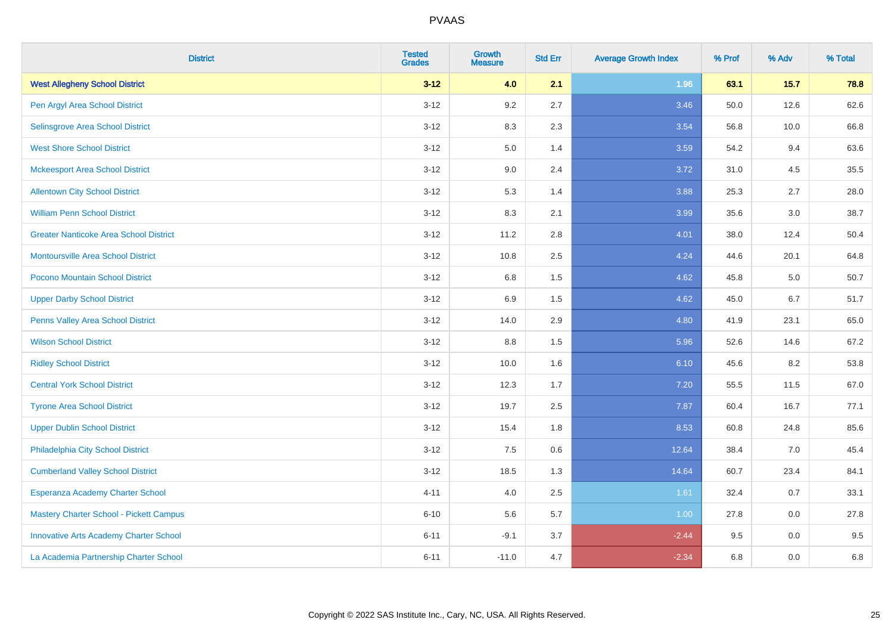| <b>District</b>                               | <b>Tested</b><br><b>Grades</b> | <b>Growth</b><br><b>Measure</b> | <b>Std Err</b> | <b>Average Growth Index</b> | % Prof | % Adv   | % Total |
|-----------------------------------------------|--------------------------------|---------------------------------|----------------|-----------------------------|--------|---------|---------|
| <b>West Allegheny School District</b>         | $3 - 12$                       | 4.0                             | 2.1            | 1.96                        | 63.1   | $15.7$  | 78.8    |
| Pen Argyl Area School District                | $3 - 12$                       | 9.2                             | 2.7            | 3.46                        | 50.0   | 12.6    | 62.6    |
| Selinsgrove Area School District              | $3 - 12$                       | 8.3                             | 2.3            | 3.54                        | 56.8   | 10.0    | 66.8    |
| <b>West Shore School District</b>             | $3 - 12$                       | $5.0\,$                         | 1.4            | 3.59                        | 54.2   | 9.4     | 63.6    |
| <b>Mckeesport Area School District</b>        | $3 - 12$                       | 9.0                             | 2.4            | 3.72                        | 31.0   | 4.5     | 35.5    |
| <b>Allentown City School District</b>         | $3 - 12$                       | 5.3                             | 1.4            | 3.88                        | 25.3   | 2.7     | 28.0    |
| <b>William Penn School District</b>           | $3 - 12$                       | 8.3                             | 2.1            | 3.99                        | 35.6   | 3.0     | 38.7    |
| <b>Greater Nanticoke Area School District</b> | $3 - 12$                       | 11.2                            | 2.8            | 4.01                        | 38.0   | 12.4    | 50.4    |
| Montoursville Area School District            | $3 - 12$                       | 10.8                            | 2.5            | 4.24                        | 44.6   | 20.1    | 64.8    |
| Pocono Mountain School District               | $3 - 12$                       | 6.8                             | 1.5            | 4.62                        | 45.8   | 5.0     | 50.7    |
| <b>Upper Darby School District</b>            | $3 - 12$                       | 6.9                             | 1.5            | 4.62                        | 45.0   | 6.7     | 51.7    |
| Penns Valley Area School District             | $3 - 12$                       | 14.0                            | 2.9            | 4.80                        | 41.9   | 23.1    | 65.0    |
| <b>Wilson School District</b>                 | $3 - 12$                       | 8.8                             | 1.5            | 5.96                        | 52.6   | 14.6    | 67.2    |
| <b>Ridley School District</b>                 | $3 - 12$                       | 10.0                            | 1.6            | 6.10                        | 45.6   | 8.2     | 53.8    |
| <b>Central York School District</b>           | $3 - 12$                       | 12.3                            | 1.7            | 7.20                        | 55.5   | 11.5    | 67.0    |
| <b>Tyrone Area School District</b>            | $3 - 12$                       | 19.7                            | 2.5            | 7.87                        | 60.4   | 16.7    | 77.1    |
| <b>Upper Dublin School District</b>           | $3 - 12$                       | 15.4                            | 1.8            | 8.53                        | 60.8   | 24.8    | 85.6    |
| Philadelphia City School District             | $3 - 12$                       | 7.5                             | 0.6            | 12.64                       | 38.4   | 7.0     | 45.4    |
| <b>Cumberland Valley School District</b>      | $3 - 12$                       | 18.5                            | 1.3            | 14.64                       | 60.7   | 23.4    | 84.1    |
| Esperanza Academy Charter School              | $4 - 11$                       | 4.0                             | 2.5            | 1.61                        | 32.4   | $0.7\,$ | 33.1    |
| Mastery Charter School - Pickett Campus       | $6 - 10$                       | 5.6                             | 5.7            | 1.00                        | 27.8   | 0.0     | 27.8    |
| <b>Innovative Arts Academy Charter School</b> | $6 - 11$                       | $-9.1$                          | 3.7            | $-2.44$                     | 9.5    | 0.0     | 9.5     |
| La Academia Partnership Charter School        | $6 - 11$                       | $-11.0$                         | 4.7            | $-2.34$                     | 6.8    | 0.0     | 6.8     |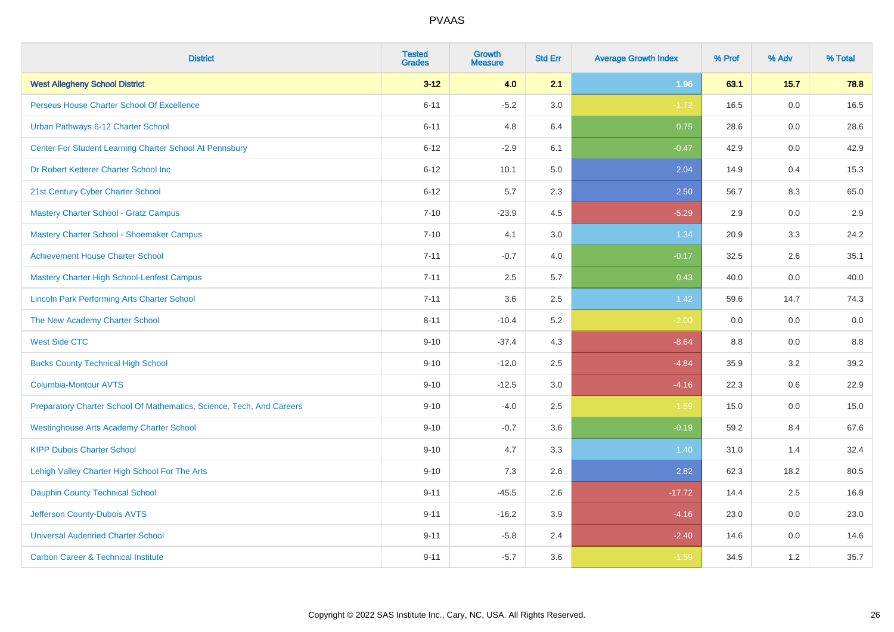| <b>District</b>                                                       | <b>Tested</b><br><b>Grades</b> | <b>Growth</b><br><b>Measure</b> | <b>Std Err</b> | <b>Average Growth Index</b> | % Prof | % Adv   | % Total |
|-----------------------------------------------------------------------|--------------------------------|---------------------------------|----------------|-----------------------------|--------|---------|---------|
| <b>West Allegheny School District</b>                                 | $3 - 12$                       | 4.0                             | 2.1            | 1.96                        | 63.1   | 15.7    | 78.8    |
| Perseus House Charter School Of Excellence                            | $6 - 11$                       | $-5.2$                          | 3.0            | $-1.72$                     | 16.5   | 0.0     | 16.5    |
| Urban Pathways 6-12 Charter School                                    | $6 - 11$                       | 4.8                             | 6.4            | 0.75                        | 28.6   | 0.0     | 28.6    |
| Center For Student Learning Charter School At Pennsbury               | $6 - 12$                       | $-2.9$                          | 6.1            | $-0.47$                     | 42.9   | 0.0     | 42.9    |
| Dr Robert Ketterer Charter School Inc                                 | $6 - 12$                       | 10.1                            | 5.0            | 2.04                        | 14.9   | 0.4     | 15.3    |
| 21st Century Cyber Charter School                                     | $6 - 12$                       | 5.7                             | 2.3            | 2.50                        | 56.7   | 8.3     | 65.0    |
| <b>Mastery Charter School - Gratz Campus</b>                          | $7 - 10$                       | $-23.9$                         | 4.5            | $-5.29$                     | 2.9    | 0.0     | 2.9     |
| <b>Mastery Charter School - Shoemaker Campus</b>                      | $7 - 10$                       | 4.1                             | 3.0            | 1.34                        | 20.9   | 3.3     | 24.2    |
| <b>Achievement House Charter School</b>                               | $7 - 11$                       | $-0.7$                          | 4.0            | $-0.17$                     | 32.5   | 2.6     | 35.1    |
| <b>Mastery Charter High School-Lenfest Campus</b>                     | $7 - 11$                       | 2.5                             | 5.7            | 0.43                        | 40.0   | 0.0     | 40.0    |
| <b>Lincoln Park Performing Arts Charter School</b>                    | $7 - 11$                       | 3.6                             | 2.5            | 1.42                        | 59.6   | 14.7    | 74.3    |
| The New Academy Charter School                                        | $8 - 11$                       | $-10.4$                         | 5.2            | $-2.00$                     | 0.0    | 0.0     | 0.0     |
| <b>West Side CTC</b>                                                  | $9 - 10$                       | $-37.4$                         | 4.3            | $-8.64$                     | 8.8    | 0.0     | $8.8\,$ |
| <b>Bucks County Technical High School</b>                             | $9 - 10$                       | $-12.0$                         | 2.5            | $-4.84$                     | 35.9   | 3.2     | 39.2    |
| <b>Columbia-Montour AVTS</b>                                          | $9 - 10$                       | $-12.5$                         | 3.0            | $-4.16$                     | 22.3   | $0.6\,$ | 22.9    |
| Preparatory Charter School Of Mathematics, Science, Tech, And Careers | $9 - 10$                       | $-4.0$                          | 2.5            | $-1.59$                     | 15.0   | $0.0\,$ | 15.0    |
| <b>Westinghouse Arts Academy Charter School</b>                       | $9 - 10$                       | $-0.7$                          | 3.6            | $-0.19$                     | 59.2   | 8.4     | 67.6    |
| <b>KIPP Dubois Charter School</b>                                     | $9 - 10$                       | 4.7                             | 3.3            | 1.40                        | 31.0   | 1.4     | 32.4    |
| Lehigh Valley Charter High School For The Arts                        | $9 - 10$                       | 7.3                             | 2.6            | 2.82                        | 62.3   | 18.2    | 80.5    |
| <b>Dauphin County Technical School</b>                                | $9 - 11$                       | $-45.5$                         | 2.6            | $-17.72$                    | 14.4   | 2.5     | 16.9    |
| Jefferson County-Dubois AVTS                                          | $9 - 11$                       | $-16.2$                         | 3.9            | $-4.16$                     | 23.0   | 0.0     | 23.0    |
| <b>Universal Audenried Charter School</b>                             | $9 - 11$                       | $-5.8$                          | 2.4            | $-2.40$                     | 14.6   | 0.0     | 14.6    |
| <b>Carbon Career &amp; Technical Institute</b>                        | $9 - 11$                       | $-5.7$                          | 3.6            | $-1.59$                     | 34.5   | 1.2     | 35.7    |